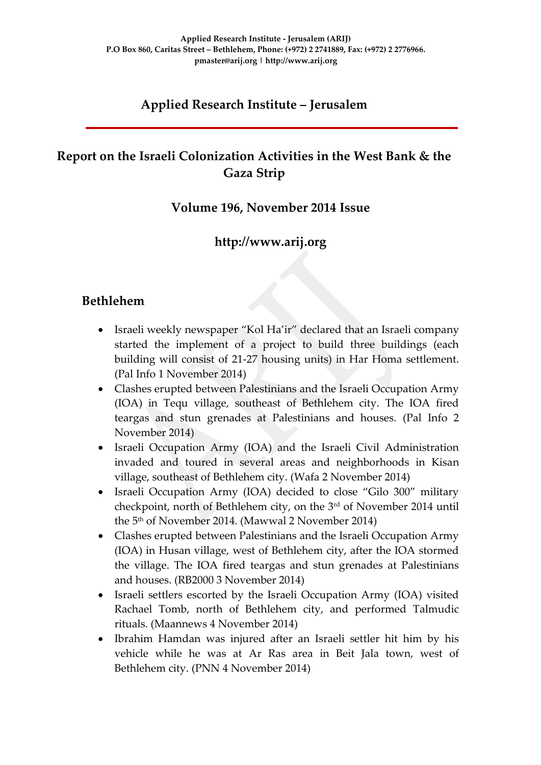# **Applied Research Institute – Jerusalem**

# **Report on the Israeli Colonization Activities in the West Bank & the Gaza Strip**

### **Volume 196, November 2014 Issue**

## **http://www.arij.org**

### **Bethlehem**

- Israeli weekly newspaper "Kol Ha'ir" declared that an Israeli company started the implement of a project to build three buildings (each building will consist of 21-27 housing units) in Har Homa settlement. (Pal Info 1 November 2014)
- Clashes erupted between Palestinians and the Israeli Occupation Army (IOA) in Tequ village, southeast of Bethlehem city. The IOA fired teargas and stun grenades at Palestinians and houses. (Pal Info 2 November 2014)
- Israeli Occupation Army (IOA) and the Israeli Civil Administration invaded and toured in several areas and neighborhoods in Kisan village, southeast of Bethlehem city. (Wafa 2 November 2014)
- Israeli Occupation Army (IOA) decided to close "Gilo 300" military checkpoint, north of Bethlehem city, on the 3<sup>rd</sup> of November 2014 until the 5th of November 2014. (Mawwal 2 November 2014)
- Clashes erupted between Palestinians and the Israeli Occupation Army (IOA) in Husan village, west of Bethlehem city, after the IOA stormed the village. The IOA fired teargas and stun grenades at Palestinians and houses. (RB2000 3 November 2014)
- Israeli settlers escorted by the Israeli Occupation Army (IOA) visited Rachael Tomb, north of Bethlehem city, and performed Talmudic rituals. (Maannews 4 November 2014)
- Ibrahim Hamdan was injured after an Israeli settler hit him by his vehicle while he was at Ar Ras area in Beit Jala town, west of Bethlehem city. (PNN 4 November 2014)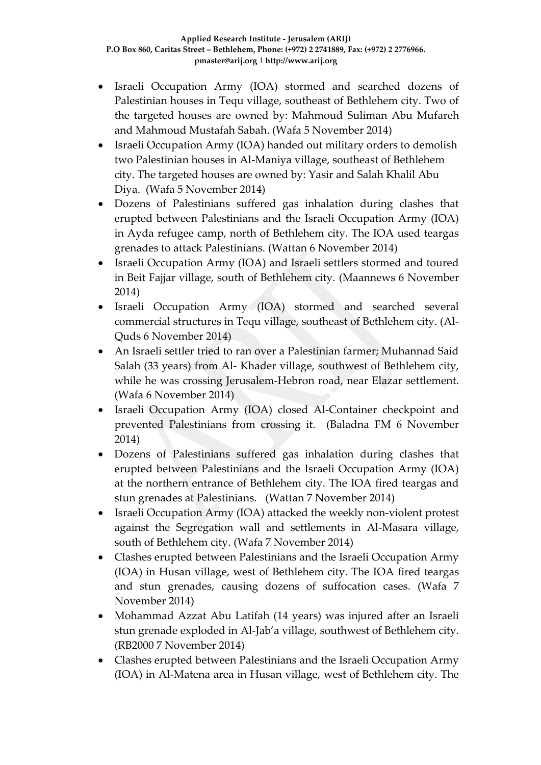- Israeli Occupation Army (IOA) stormed and searched dozens of Palestinian houses in Tequ village, southeast of Bethlehem city. Two of the targeted houses are owned by: Mahmoud Suliman Abu Mufareh and Mahmoud Mustafah Sabah. (Wafa 5 November 2014)
- Israeli Occupation Army (IOA) handed out military orders to demolish two Palestinian houses in Al-Maniya village, southeast of Bethlehem city. The targeted houses are owned by: Yasir and Salah Khalil Abu Diya. (Wafa 5 November 2014)
- Dozens of Palestinians suffered gas inhalation during clashes that erupted between Palestinians and the Israeli Occupation Army (IOA) in Ayda refugee camp, north of Bethlehem city. The IOA used teargas grenades to attack Palestinians. (Wattan 6 November 2014)
- Israeli Occupation Army (IOA) and Israeli settlers stormed and toured in Beit Fajjar village, south of Bethlehem city. (Maannews 6 November 2014)
- Israeli Occupation Army (IOA) stormed and searched several commercial structures in Tequ village, southeast of Bethlehem city. (Al-Quds 6 November 2014)
- An Israeli settler tried to ran over a Palestinian farmer; Muhannad Said Salah (33 years) from Al- Khader village, southwest of Bethlehem city, while he was crossing Jerusalem-Hebron road, near Elazar settlement. (Wafa 6 November 2014)
- Israeli Occupation Army (IOA) closed Al-Container checkpoint and prevented Palestinians from crossing it. (Baladna FM 6 November 2014)
- Dozens of Palestinians suffered gas inhalation during clashes that erupted between Palestinians and the Israeli Occupation Army (IOA) at the northern entrance of Bethlehem city. The IOA fired teargas and stun grenades at Palestinians. (Wattan 7 November 2014)
- Israeli Occupation Army (IOA) attacked the weekly non-violent protest against the Segregation wall and settlements in Al-Masara village, south of Bethlehem city. (Wafa 7 November 2014)
- Clashes erupted between Palestinians and the Israeli Occupation Army (IOA) in Husan village, west of Bethlehem city. The IOA fired teargas and stun grenades, causing dozens of suffocation cases. (Wafa 7 November 2014)
- Mohammad Azzat Abu Latifah (14 years) was injured after an Israeli stun grenade exploded in Al-Jab'a village, southwest of Bethlehem city. (RB2000 7 November 2014)
- Clashes erupted between Palestinians and the Israeli Occupation Army (IOA) in Al-Matena area in Husan village, west of Bethlehem city. The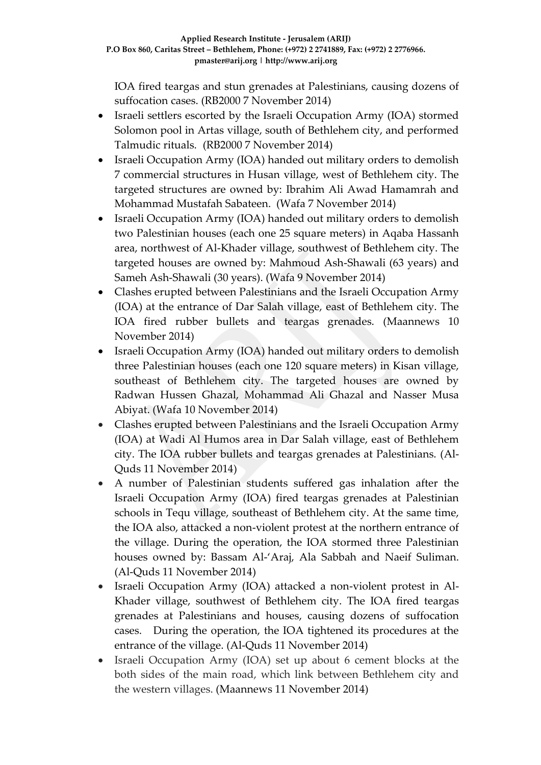IOA fired teargas and stun grenades at Palestinians, causing dozens of suffocation cases. (RB2000 7 November 2014)

- Israeli settlers escorted by the Israeli Occupation Army (IOA) stormed Solomon pool in Artas village, south of Bethlehem city, and performed Talmudic rituals. (RB2000 7 November 2014)
- Israeli Occupation Army (IOA) handed out military orders to demolish 7 commercial structures in Husan village, west of Bethlehem city. The targeted structures are owned by: Ibrahim Ali Awad Hamamrah and Mohammad Mustafah Sabateen. (Wafa 7 November 2014)
- Israeli Occupation Army (IOA) handed out military orders to demolish two Palestinian houses (each one 25 square meters) in Aqaba Hassanh area, northwest of Al-Khader village, southwest of Bethlehem city. The targeted houses are owned by: Mahmoud Ash-Shawali (63 years) and Sameh Ash-Shawali (30 years). (Wafa 9 November 2014)
- Clashes erupted between Palestinians and the Israeli Occupation Army (IOA) at the entrance of Dar Salah village, east of Bethlehem city. The IOA fired rubber bullets and teargas grenades. (Maannews 10 November 2014)
- Israeli Occupation Army (IOA) handed out military orders to demolish three Palestinian houses (each one 120 square meters) in Kisan village, southeast of Bethlehem city. The targeted houses are owned by Radwan Hussen Ghazal, Mohammad Ali Ghazal and Nasser Musa Abiyat. (Wafa 10 November 2014)
- Clashes erupted between Palestinians and the Israeli Occupation Army (IOA) at Wadi Al Humos area in Dar Salah village, east of Bethlehem city. The IOA rubber bullets and teargas grenades at Palestinians. (Al-Quds 11 November 2014)
- A number of Palestinian students suffered gas inhalation after the Israeli Occupation Army (IOA) fired teargas grenades at Palestinian schools in Tequ village, southeast of Bethlehem city. At the same time, the IOA also, attacked a non-violent protest at the northern entrance of the village. During the operation, the IOA stormed three Palestinian houses owned by: Bassam Al-'Araj, Ala Sabbah and Naeif Suliman. (Al-Quds 11 November 2014)
- Israeli Occupation Army (IOA) attacked a non-violent protest in Al-Khader village, southwest of Bethlehem city. The IOA fired teargas grenades at Palestinians and houses, causing dozens of suffocation cases. During the operation, the IOA tightened its procedures at the entrance of the village. (Al-Quds 11 November 2014)
- Israeli Occupation Army (IOA) set up about 6 cement blocks at the both sides of the main road, which link between Bethlehem city and the western villages. (Maannews 11 November 2014)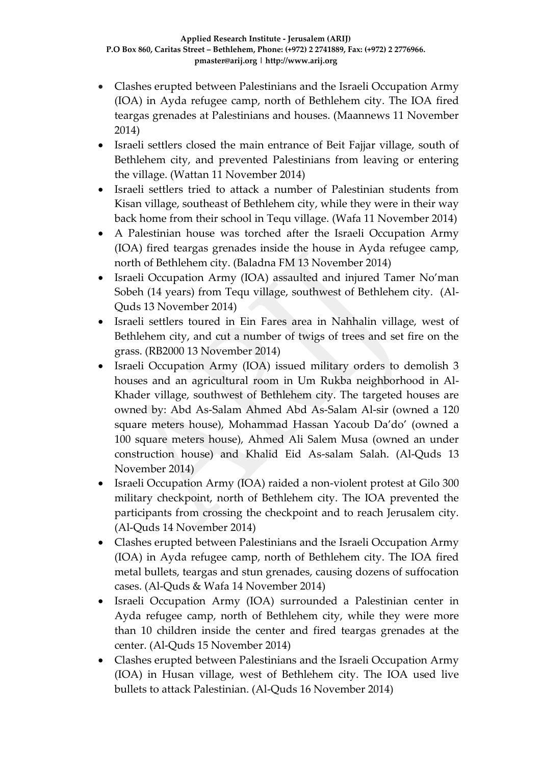- Clashes erupted between Palestinians and the Israeli Occupation Army (IOA) in Ayda refugee camp, north of Bethlehem city. The IOA fired teargas grenades at Palestinians and houses. (Maannews 11 November 2014)
- Israeli settlers closed the main entrance of Beit Fajjar village, south of Bethlehem city, and prevented Palestinians from leaving or entering the village. (Wattan 11 November 2014)
- Israeli settlers tried to attack a number of Palestinian students from Kisan village, southeast of Bethlehem city, while they were in their way back home from their school in Tequ village. (Wafa 11 November 2014)
- A Palestinian house was torched after the Israeli Occupation Army (IOA) fired teargas grenades inside the house in Ayda refugee camp, north of Bethlehem city. (Baladna FM 13 November 2014)
- Israeli Occupation Army (IOA) assaulted and injured Tamer No'man Sobeh (14 years) from Tequ village, southwest of Bethlehem city. (Al-Quds 13 November 2014)
- Israeli settlers toured in Ein Fares area in Nahhalin village, west of Bethlehem city, and cut a number of twigs of trees and set fire on the grass. (RB2000 13 November 2014)
- Israeli Occupation Army (IOA) issued military orders to demolish 3 houses and an agricultural room in Um Rukba neighborhood in Al-Khader village, southwest of Bethlehem city. The targeted houses are owned by: Abd As-Salam Ahmed Abd As-Salam Al-sir (owned a 120 square meters house), Mohammad Hassan Yacoub Da'do' (owned a 100 square meters house), Ahmed Ali Salem Musa (owned an under construction house) and Khalid Eid As-salam Salah. (Al-Quds 13 November 2014)
- Israeli Occupation Army (IOA) raided a non-violent protest at Gilo 300 military checkpoint, north of Bethlehem city. The IOA prevented the participants from crossing the checkpoint and to reach Jerusalem city. (Al-Quds 14 November 2014)
- Clashes erupted between Palestinians and the Israeli Occupation Army (IOA) in Ayda refugee camp, north of Bethlehem city. The IOA fired metal bullets, teargas and stun grenades, causing dozens of suffocation cases. (Al-Quds & Wafa 14 November 2014)
- Israeli Occupation Army (IOA) surrounded a Palestinian center in Ayda refugee camp, north of Bethlehem city, while they were more than 10 children inside the center and fired teargas grenades at the center. (Al-Quds 15 November 2014)
- Clashes erupted between Palestinians and the Israeli Occupation Army (IOA) in Husan village, west of Bethlehem city. The IOA used live bullets to attack Palestinian. (Al-Quds 16 November 2014)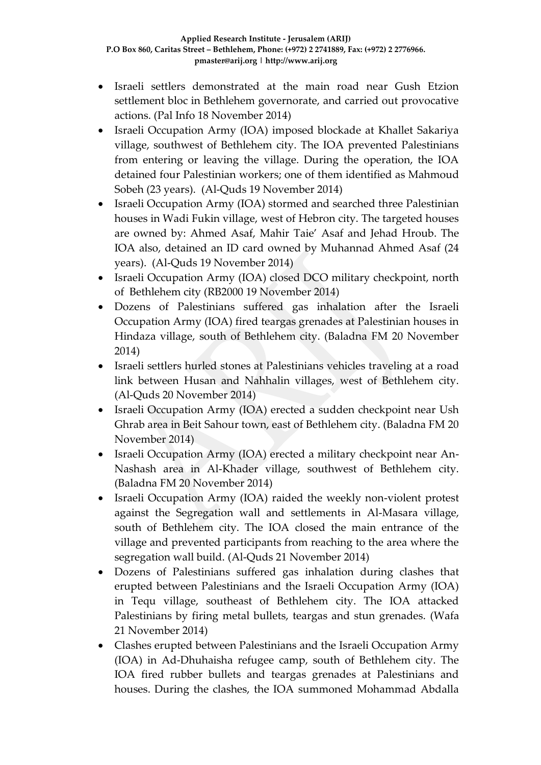- Israeli settlers demonstrated at the main road near Gush Etzion settlement bloc in Bethlehem governorate, and carried out provocative actions. (Pal Info 18 November 2014)
- Israeli Occupation Army (IOA) imposed blockade at Khallet Sakariya village, southwest of Bethlehem city. The IOA prevented Palestinians from entering or leaving the village. During the operation, the IOA detained four Palestinian workers; one of them identified as Mahmoud Sobeh (23 years). (Al-Quds 19 November 2014)
- Israeli Occupation Army (IOA) stormed and searched three Palestinian houses in Wadi Fukin village, west of Hebron city. The targeted houses are owned by: Ahmed Asaf, Mahir Taie' Asaf and Jehad Hroub. The IOA also, detained an ID card owned by Muhannad Ahmed Asaf (24 years). (Al-Quds 19 November 2014)
- Israeli Occupation Army (IOA) closed DCO military checkpoint, north of Bethlehem city (RB2000 19 November 2014)
- Dozens of Palestinians suffered gas inhalation after the Israeli Occupation Army (IOA) fired teargas grenades at Palestinian houses in Hindaza village, south of Bethlehem city. (Baladna FM 20 November 2014)
- Israeli settlers hurled stones at Palestinians vehicles traveling at a road link between Husan and Nahhalin villages, west of Bethlehem city. (Al-Quds 20 November 2014)
- Israeli Occupation Army (IOA) erected a sudden checkpoint near Ush Ghrab area in Beit Sahour town, east of Bethlehem city. (Baladna FM 20 November 2014)
- Israeli Occupation Army (IOA) erected a military checkpoint near An-Nashash area in Al-Khader village, southwest of Bethlehem city. (Baladna FM 20 November 2014)
- Israeli Occupation Army (IOA) raided the weekly non-violent protest against the Segregation wall and settlements in Al-Masara village, south of Bethlehem city. The IOA closed the main entrance of the village and prevented participants from reaching to the area where the segregation wall build. (Al-Quds 21 November 2014)
- Dozens of Palestinians suffered gas inhalation during clashes that erupted between Palestinians and the Israeli Occupation Army (IOA) in Tequ village, southeast of Bethlehem city. The IOA attacked Palestinians by firing metal bullets, teargas and stun grenades. (Wafa 21 November 2014)
- Clashes erupted between Palestinians and the Israeli Occupation Army (IOA) in Ad-Dhuhaisha refugee camp, south of Bethlehem city. The IOA fired rubber bullets and teargas grenades at Palestinians and houses. During the clashes, the IOA summoned Mohammad Abdalla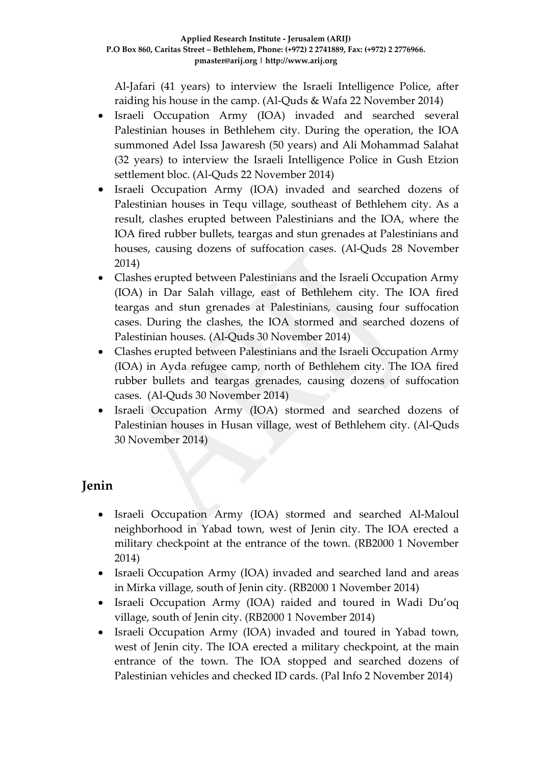Al-Jafari (41 years) to interview the Israeli Intelligence Police, after raiding his house in the camp. (Al-Quds & Wafa 22 November 2014)

- Israeli Occupation Army (IOA) invaded and searched several Palestinian houses in Bethlehem city. During the operation, the IOA summoned Adel Issa Jawaresh (50 years) and Ali Mohammad Salahat (32 years) to interview the Israeli Intelligence Police in Gush Etzion settlement bloc. (Al-Quds 22 November 2014)
- Israeli Occupation Army (IOA) invaded and searched dozens of Palestinian houses in Tequ village, southeast of Bethlehem city. As a result, clashes erupted between Palestinians and the IOA, where the IOA fired rubber bullets, teargas and stun grenades at Palestinians and houses, causing dozens of suffocation cases. (Al-Quds 28 November 2014)
- Clashes erupted between Palestinians and the Israeli Occupation Army (IOA) in Dar Salah village, east of Bethlehem city. The IOA fired teargas and stun grenades at Palestinians, causing four suffocation cases. During the clashes, the IOA stormed and searched dozens of Palestinian houses. (Al-Quds 30 November 2014)
- Clashes erupted between Palestinians and the Israeli Occupation Army (IOA) in Ayda refugee camp, north of Bethlehem city. The IOA fired rubber bullets and teargas grenades, causing dozens of suffocation cases. (Al-Quds 30 November 2014)
- Israeli Occupation Army (IOA) stormed and searched dozens of Palestinian houses in Husan village, west of Bethlehem city. (Al-Quds 30 November 2014)

# **Jenin**

- Israeli Occupation Army (IOA) stormed and searched Al-Maloul neighborhood in Yabad town, west of Jenin city. The IOA erected a military checkpoint at the entrance of the town. (RB2000 1 November 2014)
- Israeli Occupation Army (IOA) invaded and searched land and areas in Mirka village, south of Jenin city. (RB2000 1 November 2014)
- Israeli Occupation Army (IOA) raided and toured in Wadi Du'oq village, south of Jenin city. (RB2000 1 November 2014)
- Israeli Occupation Army (IOA) invaded and toured in Yabad town, west of Jenin city. The IOA erected a military checkpoint, at the main entrance of the town. The IOA stopped and searched dozens of Palestinian vehicles and checked ID cards. (Pal Info 2 November 2014)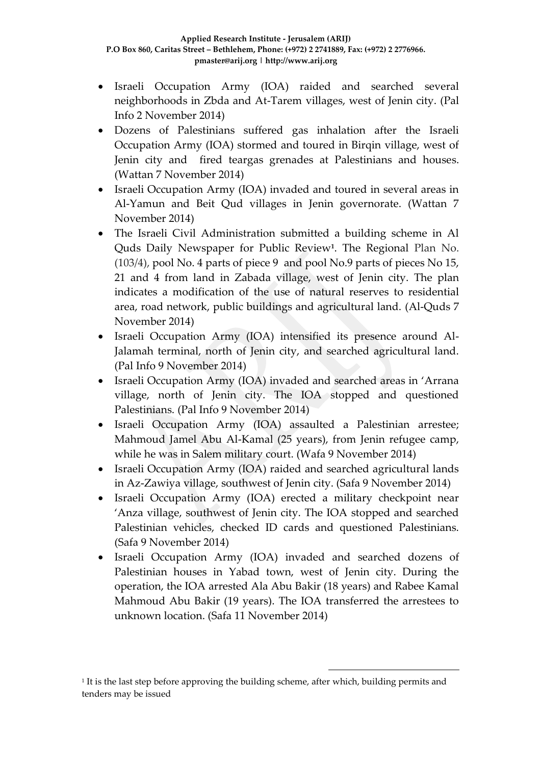- Israeli Occupation Army (IOA) raided and searched several neighborhoods in Zbda and At-Tarem villages, west of Jenin city. (Pal Info 2 November 2014)
- Dozens of Palestinians suffered gas inhalation after the Israeli Occupation Army (IOA) stormed and toured in Birqin village, west of Jenin city and fired teargas grenades at Palestinians and houses. (Wattan 7 November 2014)
- Israeli Occupation Army (IOA) invaded and toured in several areas in Al-Yamun and Beit Qud villages in Jenin governorate. (Wattan 7 November 2014)
- The Israeli Civil Administration submitted a building scheme in Al Quds Daily Newspaper for Public Review**<sup>1</sup>** . The Regional Plan No. (103/4), pool No. 4 parts of piece 9 and pool No.9 parts of pieces No 15, 21 and 4 from land in Zabada village, west of Jenin city. The plan indicates a modification of the use of natural reserves to residential area, road network, public buildings and agricultural land. (Al-Quds 7 November 2014)
- Israeli Occupation Army (IOA) intensified its presence around Al-Jalamah terminal, north of Jenin city, and searched agricultural land. (Pal Info 9 November 2014)
- Israeli Occupation Army (IOA) invaded and searched areas in 'Arrana village, north of Jenin city. The IOA stopped and questioned Palestinians. (Pal Info 9 November 2014)
- Israeli Occupation Army (IOA) assaulted a Palestinian arrestee; Mahmoud Jamel Abu Al-Kamal (25 years), from Jenin refugee camp, while he was in Salem military court. (Wafa 9 November 2014)
- Israeli Occupation Army (IOA) raided and searched agricultural lands in Az-Zawiya village, southwest of Jenin city. (Safa 9 November 2014)
- Israeli Occupation Army (IOA) erected a military checkpoint near 'Anza village, southwest of Jenin city. The IOA stopped and searched Palestinian vehicles, checked ID cards and questioned Palestinians. (Safa 9 November 2014)
- Israeli Occupation Army (IOA) invaded and searched dozens of Palestinian houses in Yabad town, west of Jenin city. During the operation, the IOA arrested Ala Abu Bakir (18 years) and Rabee Kamal Mahmoud Abu Bakir (19 years). The IOA transferred the arrestees to unknown location. (Safa 11 November 2014)

1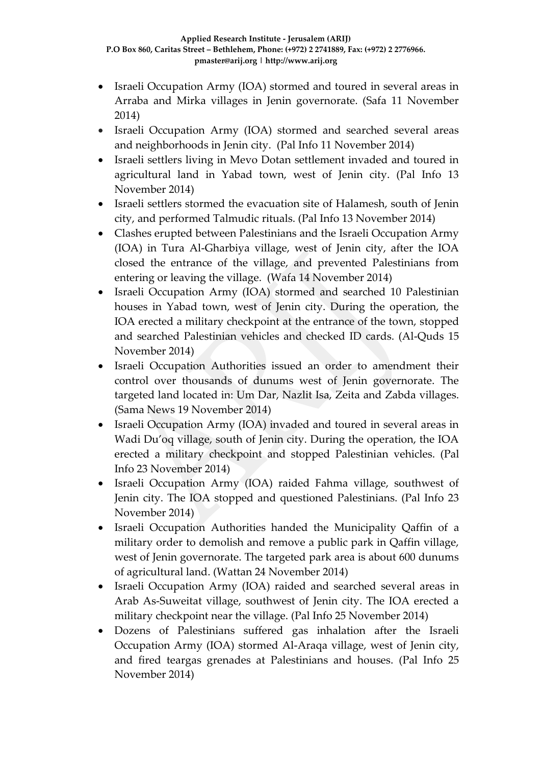- Israeli Occupation Army (IOA) stormed and toured in several areas in Arraba and Mirka villages in Jenin governorate. (Safa 11 November 2014)
- Israeli Occupation Army (IOA) stormed and searched several areas and neighborhoods in Jenin city. (Pal Info 11 November 2014)
- Israeli settlers living in Mevo Dotan settlement invaded and toured in agricultural land in Yabad town, west of Jenin city. (Pal Info 13 November 2014)
- Israeli settlers stormed the evacuation site of Halamesh, south of Jenin city, and performed Talmudic rituals. (Pal Info 13 November 2014)
- Clashes erupted between Palestinians and the Israeli Occupation Army (IOA) in Tura Al-Gharbiya village, west of Jenin city, after the IOA closed the entrance of the village, and prevented Palestinians from entering or leaving the village. (Wafa 14 November 2014)
- Israeli Occupation Army (IOA) stormed and searched 10 Palestinian houses in Yabad town, west of Jenin city. During the operation, the IOA erected a military checkpoint at the entrance of the town, stopped and searched Palestinian vehicles and checked ID cards. (Al-Quds 15 November 2014)
- Israeli Occupation Authorities issued an order to amendment their control over thousands of dunums west of Jenin governorate. The targeted land located in: Um Dar, Nazlit Isa, Zeita and Zabda villages. (Sama News 19 November 2014)
- Israeli Occupation Army (IOA) invaded and toured in several areas in Wadi Du'oq village, south of Jenin city. During the operation, the IOA erected a military checkpoint and stopped Palestinian vehicles. (Pal Info 23 November 2014)
- Israeli Occupation Army (IOA) raided Fahma village, southwest of Jenin city. The IOA stopped and questioned Palestinians. (Pal Info 23 November 2014)
- Israeli Occupation Authorities handed the Municipality Qaffin of a military order to demolish and remove a public park in Qaffin village, west of Jenin governorate. The targeted park area is about 600 dunums of agricultural land. (Wattan 24 November 2014)
- Israeli Occupation Army (IOA) raided and searched several areas in Arab As-Suweitat village, southwest of Jenin city. The IOA erected a military checkpoint near the village. (Pal Info 25 November 2014)
- Dozens of Palestinians suffered gas inhalation after the Israeli Occupation Army (IOA) stormed Al-Araqa village, west of Jenin city, and fired teargas grenades at Palestinians and houses. (Pal Info 25 November 2014)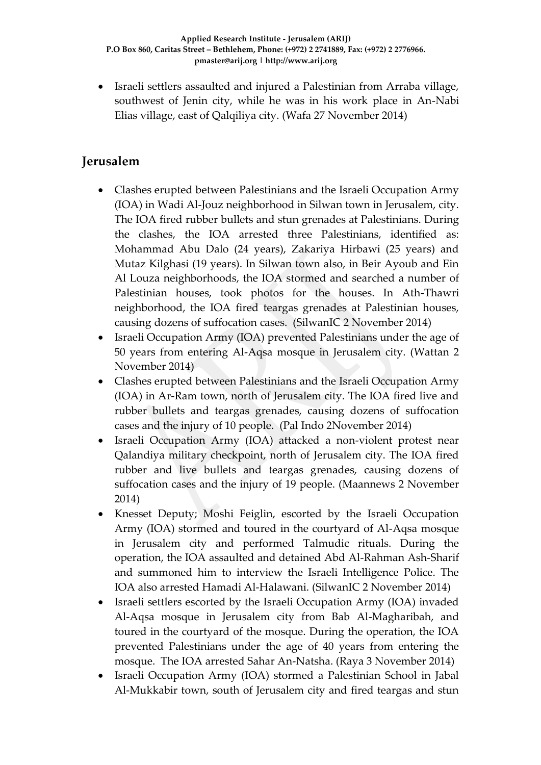Israeli settlers assaulted and injured a Palestinian from Arraba village, southwest of Jenin city, while he was in his work place in An-Nabi Elias village, east of Qalqiliya city. (Wafa 27 November 2014)

# **Jerusalem**

- Clashes erupted between Palestinians and the Israeli Occupation Army (IOA) in Wadi Al-Jouz neighborhood in Silwan town in Jerusalem, city. The IOA fired rubber bullets and stun grenades at Palestinians. During the clashes, the IOA arrested three Palestinians, identified as: Mohammad Abu Dalo (24 years), Zakariya Hirbawi (25 years) and Mutaz Kilghasi (19 years). In Silwan town also, in Beir Ayoub and Ein Al Louza neighborhoods, the IOA stormed and searched a number of Palestinian houses, took photos for the houses. In Ath-Thawri neighborhood, the IOA fired teargas grenades at Palestinian houses, causing dozens of suffocation cases. (SilwanIC 2 November 2014)
- Israeli Occupation Army (IOA) prevented Palestinians under the age of 50 years from entering Al-Aqsa mosque in Jerusalem city. (Wattan 2 November 2014)
- Clashes erupted between Palestinians and the Israeli Occupation Army (IOA) in Ar-Ram town, north of Jerusalem city. The IOA fired live and rubber bullets and teargas grenades, causing dozens of suffocation cases and the injury of 10 people. (Pal Indo 2November 2014)
- Israeli Occupation Army (IOA) attacked a non-violent protest near Qalandiya military checkpoint, north of Jerusalem city. The IOA fired rubber and live bullets and teargas grenades, causing dozens of suffocation cases and the injury of 19 people. (Maannews 2 November 2014)
- Knesset Deputy; Moshi Feiglin, escorted by the Israeli Occupation Army (IOA) stormed and toured in the courtyard of Al-Aqsa mosque in Jerusalem city and performed Talmudic rituals. During the operation, the IOA assaulted and detained Abd Al-Rahman Ash-Sharif and summoned him to interview the Israeli Intelligence Police. The IOA also arrested Hamadi Al-Halawani. (SilwanIC 2 November 2014)
- Israeli settlers escorted by the Israeli Occupation Army (IOA) invaded Al-Aqsa mosque in Jerusalem city from Bab Al-Magharibah, and toured in the courtyard of the mosque. During the operation, the IOA prevented Palestinians under the age of 40 years from entering the mosque. The IOA arrested Sahar An-Natsha. (Raya 3 November 2014)
- Israeli Occupation Army (IOA) stormed a Palestinian School in Jabal Al-Mukkabir town, south of Jerusalem city and fired teargas and stun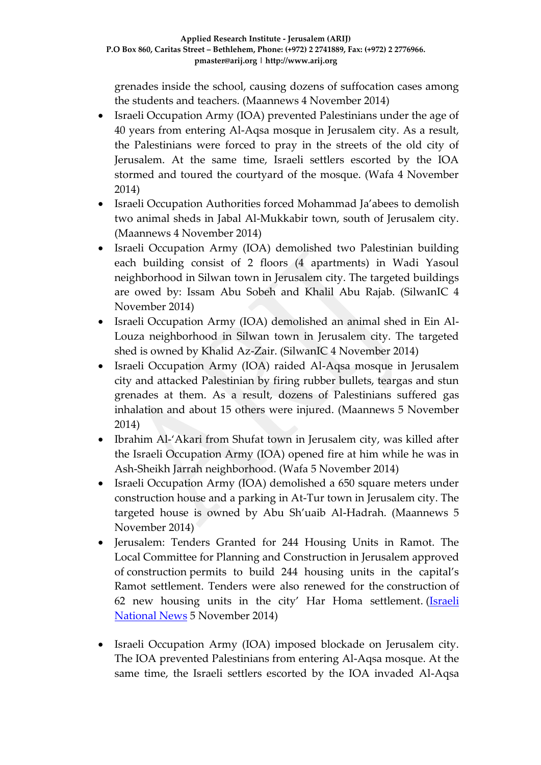grenades inside the school, causing dozens of suffocation cases among the students and teachers. (Maannews 4 November 2014)

- Israeli Occupation Army (IOA) prevented Palestinians under the age of 40 years from entering Al-Aqsa mosque in Jerusalem city. As a result, the Palestinians were forced to pray in the streets of the old city of Jerusalem. At the same time, Israeli settlers escorted by the IOA stormed and toured the courtyard of the mosque. (Wafa 4 November 2014)
- Israeli Occupation Authorities forced Mohammad Ja'abees to demolish two animal sheds in Jabal Al-Mukkabir town, south of Jerusalem city. (Maannews 4 November 2014)
- Israeli Occupation Army (IOA) demolished two Palestinian building each building consist of 2 floors (4 apartments) in Wadi Yasoul neighborhood in Silwan town in Jerusalem city. The targeted buildings are owed by: Issam Abu Sobeh and Khalil Abu Rajab. (SilwanIC 4 November 2014)
- Israeli Occupation Army (IOA) demolished an animal shed in Ein Al-Louza neighborhood in Silwan town in Jerusalem city. The targeted shed is owned by Khalid Az-Zair. (SilwanIC 4 November 2014)
- Israeli Occupation Army (IOA) raided Al-Aqsa mosque in Jerusalem city and attacked Palestinian by firing rubber bullets, teargas and stun grenades at them. As a result, dozens of Palestinians suffered gas inhalation and about 15 others were injured. (Maannews 5 November 2014)
- Ibrahim Al-'Akari from Shufat town in Jerusalem city, was killed after the Israeli Occupation Army (IOA) opened fire at him while he was in Ash-Sheikh Jarrah neighborhood. (Wafa 5 November 2014)
- Israeli Occupation Army (IOA) demolished a 650 square meters under construction house and a parking in At-Tur town in Jerusalem city. The targeted house is owned by Abu Sh'uaib Al-Hadrah. (Maannews 5 November 2014)
- Jerusalem: Tenders Granted for 244 Housing Units in Ramot. The Local Committee for Planning and Construction in Jerusalem approved of construction permits to build 244 housing units in the capital's Ramot settlement. Tenders were also renewed for the construction of 62 new housing units in the city' Har Homa settlement. [\(Israeli](http://www.israelnationalnews.com/News/Flash.aspx/308177#.VFof0PmUepc)  [National News](http://www.israelnationalnews.com/News/Flash.aspx/308177#.VFof0PmUepc) 5 November 2014)
- Israeli Occupation Army (IOA) imposed blockade on Jerusalem city. The IOA prevented Palestinians from entering Al-Aqsa mosque. At the same time, the Israeli settlers escorted by the IOA invaded Al-Aqsa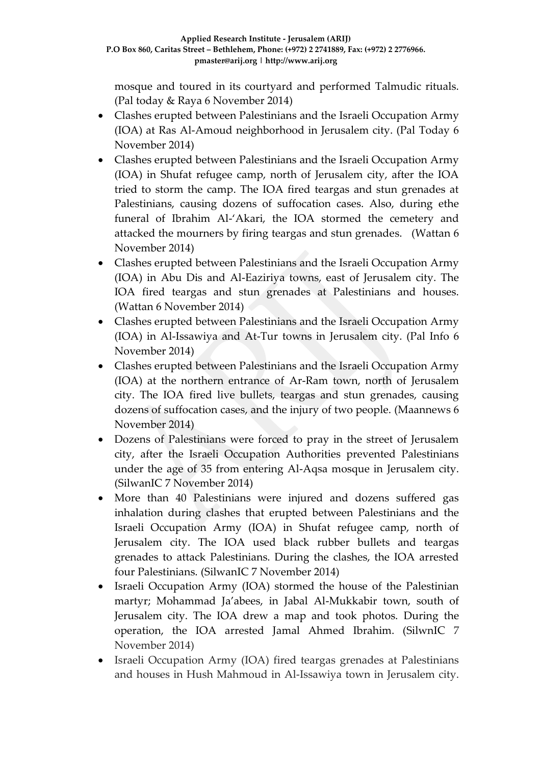mosque and toured in its courtyard and performed Talmudic rituals. (Pal today & Raya 6 November 2014)

- Clashes erupted between Palestinians and the Israeli Occupation Army (IOA) at Ras Al-Amoud neighborhood in Jerusalem city. (Pal Today 6 November 2014)
- Clashes erupted between Palestinians and the Israeli Occupation Army (IOA) in Shufat refugee camp, north of Jerusalem city, after the IOA tried to storm the camp. The IOA fired teargas and stun grenades at Palestinians, causing dozens of suffocation cases. Also, during ethe funeral of Ibrahim Al-'Akari, the IOA stormed the cemetery and attacked the mourners by firing teargas and stun grenades. (Wattan 6 November 2014)
- Clashes erupted between Palestinians and the Israeli Occupation Army (IOA) in Abu Dis and Al-Eaziriya towns, east of Jerusalem city. The IOA fired teargas and stun grenades at Palestinians and houses. (Wattan 6 November 2014)
- Clashes erupted between Palestinians and the Israeli Occupation Army (IOA) in Al-Issawiya and At-Tur towns in Jerusalem city. (Pal Info 6 November 2014)
- Clashes erupted between Palestinians and the Israeli Occupation Army (IOA) at the northern entrance of Ar-Ram town, north of Jerusalem city. The IOA fired live bullets, teargas and stun grenades, causing dozens of suffocation cases, and the injury of two people. (Maannews 6 November 2014)
- Dozens of Palestinians were forced to pray in the street of Jerusalem city, after the Israeli Occupation Authorities prevented Palestinians under the age of 35 from entering Al-Aqsa mosque in Jerusalem city. (SilwanIC 7 November 2014)
- More than 40 Palestinians were injured and dozens suffered gas inhalation during clashes that erupted between Palestinians and the Israeli Occupation Army (IOA) in Shufat refugee camp, north of Jerusalem city. The IOA used black rubber bullets and teargas grenades to attack Palestinians. During the clashes, the IOA arrested four Palestinians. (SilwanIC 7 November 2014)
- Israeli Occupation Army (IOA) stormed the house of the Palestinian martyr; Mohammad Ja'abees, in Jabal Al-Mukkabir town, south of Jerusalem city. The IOA drew a map and took photos. During the operation, the IOA arrested Jamal Ahmed Ibrahim. (SilwnIC 7 November 2014)
- Israeli Occupation Army (IOA) fired teargas grenades at Palestinians and houses in Hush Mahmoud in Al-Issawiya town in Jerusalem city.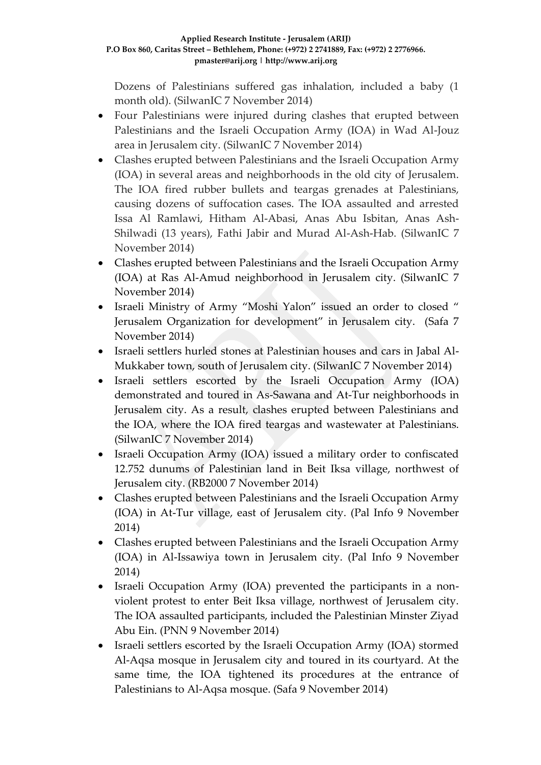Dozens of Palestinians suffered gas inhalation, included a baby (1 month old). (SilwanIC 7 November 2014)

- Four Palestinians were injured during clashes that erupted between Palestinians and the Israeli Occupation Army (IOA) in Wad Al-Jouz area in Jerusalem city. (SilwanIC 7 November 2014)
- Clashes erupted between Palestinians and the Israeli Occupation Army (IOA) in several areas and neighborhoods in the old city of Jerusalem. The IOA fired rubber bullets and teargas grenades at Palestinians, causing dozens of suffocation cases. The IOA assaulted and arrested Issa Al Ramlawi, Hitham Al-Abasi, Anas Abu Isbitan, Anas Ash-Shilwadi (13 years), Fathi Jabir and Murad Al-Ash-Hab. (SilwanIC 7 November 2014)
- Clashes erupted between Palestinians and the Israeli Occupation Army (IOA) at Ras Al-Amud neighborhood in Jerusalem city. (SilwanIC 7 November 2014)
- Israeli Ministry of Army "Moshi Yalon" issued an order to closed " Jerusalem Organization for development" in Jerusalem city. (Safa 7 November 2014)
- Israeli settlers hurled stones at Palestinian houses and cars in Jabal Al-Mukkaber town, south of Jerusalem city. (SilwanIC 7 November 2014)
- Israeli settlers escorted by the Israeli Occupation Army (IOA) demonstrated and toured in As-Sawana and At-Tur neighborhoods in Jerusalem city. As a result, clashes erupted between Palestinians and the IOA, where the IOA fired teargas and wastewater at Palestinians. (SilwanIC 7 November 2014)
- Israeli Occupation Army (IOA) issued a military order to confiscated 12.752 dunums of Palestinian land in Beit Iksa village, northwest of Jerusalem city. (RB2000 7 November 2014)
- Clashes erupted between Palestinians and the Israeli Occupation Army (IOA) in At-Tur village, east of Jerusalem city. (Pal Info 9 November 2014)
- Clashes erupted between Palestinians and the Israeli Occupation Army (IOA) in Al-Issawiya town in Jerusalem city. (Pal Info 9 November 2014)
- Israeli Occupation Army (IOA) prevented the participants in a nonviolent protest to enter Beit Iksa village, northwest of Jerusalem city. The IOA assaulted participants, included the Palestinian Minster Ziyad Abu Ein. (PNN 9 November 2014)
- Israeli settlers escorted by the Israeli Occupation Army (IOA) stormed Al-Aqsa mosque in Jerusalem city and toured in its courtyard. At the same time, the IOA tightened its procedures at the entrance of Palestinians to Al-Aqsa mosque. (Safa 9 November 2014)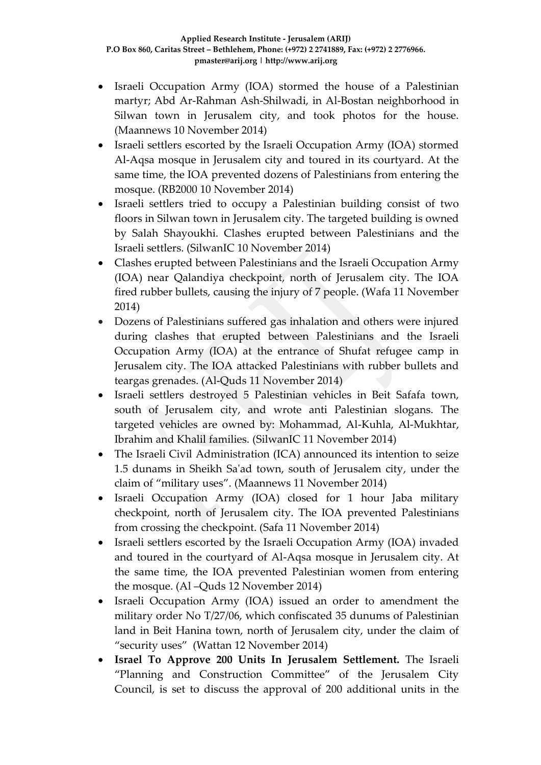- Israeli Occupation Army (IOA) stormed the house of a Palestinian martyr; Abd Ar-Rahman Ash-Shilwadi, in Al-Bostan neighborhood in Silwan town in Jerusalem city, and took photos for the house. (Maannews 10 November 2014)
- Israeli settlers escorted by the Israeli Occupation Army (IOA) stormed Al-Aqsa mosque in Jerusalem city and toured in its courtyard. At the same time, the IOA prevented dozens of Palestinians from entering the mosque. (RB2000 10 November 2014)
- Israeli settlers tried to occupy a Palestinian building consist of two floors in Silwan town in Jerusalem city. The targeted building is owned by Salah Shayoukhi. Clashes erupted between Palestinians and the Israeli settlers. (SilwanIC 10 November 2014)
- Clashes erupted between Palestinians and the Israeli Occupation Army (IOA) near Qalandiya checkpoint, north of Jerusalem city. The IOA fired rubber bullets, causing the injury of 7 people. (Wafa 11 November 2014)
- Dozens of Palestinians suffered gas inhalation and others were injured during clashes that erupted between Palestinians and the Israeli Occupation Army (IOA) at the entrance of Shufat refugee camp in Jerusalem city. The IOA attacked Palestinians with rubber bullets and teargas grenades. (Al-Quds 11 November 2014)
- Israeli settlers destroyed 5 Palestinian vehicles in Beit Safafa town, south of Jerusalem city, and wrote anti Palestinian slogans. The targeted vehicles are owned by: Mohammad, Al-Kuhla, Al-Mukhtar, Ibrahim and Khalil families. (SilwanIC 11 November 2014)
- The Israeli Civil Administration (ICA) announced its intention to seize 1.5 dunams in Sheikh Sa'ad town, south of Jerusalem city, under the claim of "military uses". (Maannews 11 November 2014)
- Israeli Occupation Army (IOA) closed for 1 hour Jaba military checkpoint, north of Jerusalem city. The IOA prevented Palestinians from crossing the checkpoint. (Safa 11 November 2014)
- Israeli settlers escorted by the Israeli Occupation Army (IOA) invaded and toured in the courtyard of Al-Aqsa mosque in Jerusalem city. At the same time, the IOA prevented Palestinian women from entering the mosque. (Al –Quds 12 November 2014)
- Israeli Occupation Army (IOA) issued an order to amendment the military order No T/27/06, which confiscated 35 dunums of Palestinian land in Beit Hanina town, north of Jerusalem city, under the claim of "security uses" (Wattan 12 November 2014)
- **Israel To Approve 200 Units In Jerusalem Settlement.** The Israeli "Planning and Construction Committee" of the Jerusalem City Council, is set to discuss the approval of 200 additional units in the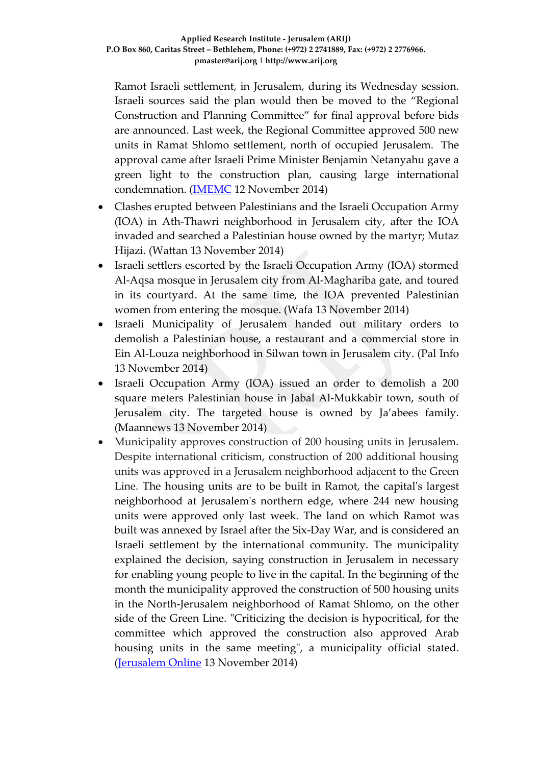Ramot Israeli settlement, in Jerusalem, during its Wednesday session. Israeli sources said the plan would then be moved to the "Regional Construction and Planning Committee" for final approval before bids are announced. Last week, the Regional Committee approved 500 new units in Ramat Shlomo settlement, north of occupied Jerusalem. The approval came after Israeli Prime Minister Benjamin Netanyahu gave a green light to the construction plan, causing large international condemnation. [\(IMEMC](http://www.imemc.org/article/69683) 12 November 2014)

- Clashes erupted between Palestinians and the Israeli Occupation Army (IOA) in Ath-Thawri neighborhood in Jerusalem city, after the IOA invaded and searched a Palestinian house owned by the martyr; Mutaz Hijazi. (Wattan 13 November 2014)
- Israeli settlers escorted by the Israeli Occupation Army (IOA) stormed Al-Aqsa mosque in Jerusalem city from Al-Maghariba gate, and toured in its courtyard. At the same time, the IOA prevented Palestinian women from entering the mosque. (Wafa 13 November 2014)
- Israeli Municipality of Jerusalem handed out military orders to demolish a Palestinian house, a restaurant and a commercial store in Ein Al-Louza neighborhood in Silwan town in Jerusalem city. (Pal Info 13 November 2014)
- Israeli Occupation Army (IOA) issued an order to demolish a 200 square meters Palestinian house in Jabal Al-Mukkabir town, south of Jerusalem city. The targeted house is owned by Ja'abees family. (Maannews 13 November 2014)
- Municipality approves construction of 200 housing units in Jerusalem. Despite international criticism, construction of 200 additional housing units was approved in a Jerusalem neighborhood adjacent to the Green Line. The housing units are to be built in Ramot, the capital's largest neighborhood at Jerusalem's northern edge, where 244 new housing units were approved only last week. The land on which Ramot was built was annexed by Israel after the Six-Day War, and is considered an Israeli settlement by the international community. The municipality explained the decision, saying construction in Jerusalem in necessary for enabling young people to live in the capital. In the beginning of the month the municipality approved the construction of 500 housing units in the North-Jerusalem neighborhood of Ramat Shlomo, on the other side of the Green Line. "Criticizing the decision is hypocritical, for the committee which approved the construction also approved Arab housing units in the same meeting", a municipality official stated. [\(Jerusalem Online](http://www.jerusalemonline.com/news/in-israel/local/municipality-approves-construction-of-200-housing-units-in-jerusalem-9473?utm_source=contactology&utm_medium=email&utm_campaign=DailyNewsletter) 13 November 2014)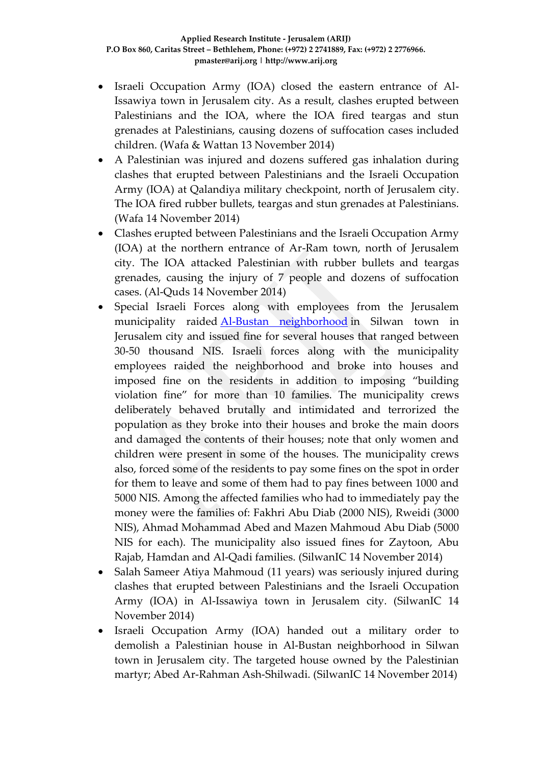- Israeli Occupation Army (IOA) closed the eastern entrance of Al-Issawiya town in Jerusalem city. As a result, clashes erupted between Palestinians and the IOA, where the IOA fired teargas and stun grenades at Palestinians, causing dozens of suffocation cases included children. (Wafa & Wattan 13 November 2014)
- A Palestinian was injured and dozens suffered gas inhalation during clashes that erupted between Palestinians and the Israeli Occupation Army (IOA) at Qalandiya military checkpoint, north of Jerusalem city. The IOA fired rubber bullets, teargas and stun grenades at Palestinians. (Wafa 14 November 2014)
- Clashes erupted between Palestinians and the Israeli Occupation Army (IOA) at the northern entrance of Ar-Ram town, north of Jerusalem city. The IOA attacked Palestinian with rubber bullets and teargas grenades, causing the injury of 7 people and dozens of suffocation cases. (Al-Quds 14 November 2014)
- Special Israeli Forces along with employees from the Jerusalem municipality raided [Al-Bustan neighborhood](http://silwanic.net/?tag=al-bustan-neighborhood) in Silwan town in Jerusalem city and issued fine for several houses that ranged between 30-50 thousand NIS. Israeli forces along with the municipality employees raided the neighborhood and broke into houses and imposed fine on the residents in addition to imposing "building violation fine" for more than 10 families. The municipality crews deliberately behaved brutally and intimidated and terrorized the population as they broke into their houses and broke the main doors and damaged the contents of their houses; note that only women and children were present in some of the houses. The municipality crews also, forced some of the residents to pay some fines on the spot in order for them to leave and some of them had to pay fines between 1000 and 5000 NIS. Among the affected families who had to immediately pay the money were the families of: Fakhri Abu Diab (2000 NIS), Rweidi (3000 NIS), Ahmad Mohammad Abed and Mazen Mahmoud Abu Diab (5000 NIS for each). The municipality also issued fines for Zaytoon, Abu Rajab, Hamdan and Al-Qadi families. (SilwanIC 14 November 2014)
- Salah Sameer Atiya Mahmoud (11 years) was seriously injured during clashes that erupted between Palestinians and the Israeli Occupation Army (IOA) in Al-Issawiya town in Jerusalem city. (SilwanIC 14 November 2014)
- Israeli Occupation Army (IOA) handed out a military order to demolish a Palestinian house in Al-Bustan neighborhood in Silwan town in Jerusalem city. The targeted house owned by the Palestinian martyr; Abed Ar-Rahman Ash-Shilwadi. (SilwanIC 14 November 2014)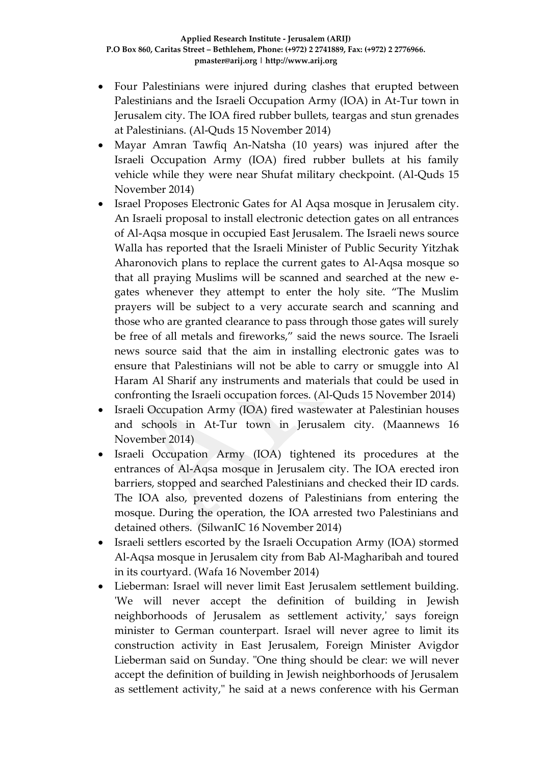- Four Palestinians were injured during clashes that erupted between Palestinians and the Israeli Occupation Army (IOA) in At-Tur town in Jerusalem city. The IOA fired rubber bullets, teargas and stun grenades at Palestinians. (Al-Quds 15 November 2014)
- Mayar Amran Tawfiq An-Natsha (10 years) was injured after the Israeli Occupation Army (IOA) fired rubber bullets at his family vehicle while they were near Shufat military checkpoint. (Al-Quds 15 November 2014)
- Israel Proposes [Electronic](http://www.ciibroadcasting.com/2014/11/13/israel-proposes-electronic-gates-for-masjid-al-aqsa/) Gates for Al Aqsa mosque in Jerusalem city. An Israeli proposal to install electronic detection gates on all entrances of Al-Aqsa mosque in occupied East Jerusalem. The Israeli news source Walla has reported that the Israeli Minister of Public Security Yitzhak Aharonovich plans to replace the current gates to Al-Aqsa mosque so that all praying Muslims will be scanned and searched at the new egates whenever they attempt to enter the holy site. "The Muslim prayers will be subject to a very accurate search and scanning and those who are granted clearance to pass through those gates will surely be free of all metals and fireworks," said the news source. The Israeli news source said that the aim in installing electronic gates was to ensure that Palestinians will not be able to carry or smuggle into Al Haram Al Sharif any instruments and materials that could be used in confronting the Israeli occupation forces. (Al-Quds 15 November 2014)
- Israeli Occupation Army (IOA) fired wastewater at Palestinian houses and schools in At-Tur town in Jerusalem city. (Maannews 16 November 2014)
- Israeli Occupation Army (IOA) tightened its procedures at the entrances of Al-Aqsa mosque in Jerusalem city. The IOA erected iron barriers, stopped and searched Palestinians and checked their ID cards. The IOA also, prevented dozens of Palestinians from entering the mosque. During the operation, the IOA arrested two Palestinians and detained others. (SilwanIC 16 November 2014)
- Israeli settlers escorted by the Israeli Occupation Army (IOA) stormed Al-Aqsa mosque in Jerusalem city from Bab Al-Magharibah and toured in its courtyard. (Wafa 16 November 2014)
- Lieberman: Israel will never limit East Jerusalem settlement building. 'We will never accept the definition of building in Jewish neighborhoods of Jerusalem as settlement activity,' says foreign minister to German counterpart. Israel will never agree to limit its construction activity in East Jerusalem, Foreign Minister Avigdor Lieberman said on Sunday. "One thing should be clear: we will never accept the definition of building in Jewish neighborhoods of Jerusalem as settlement activity," he said at a news conference with his German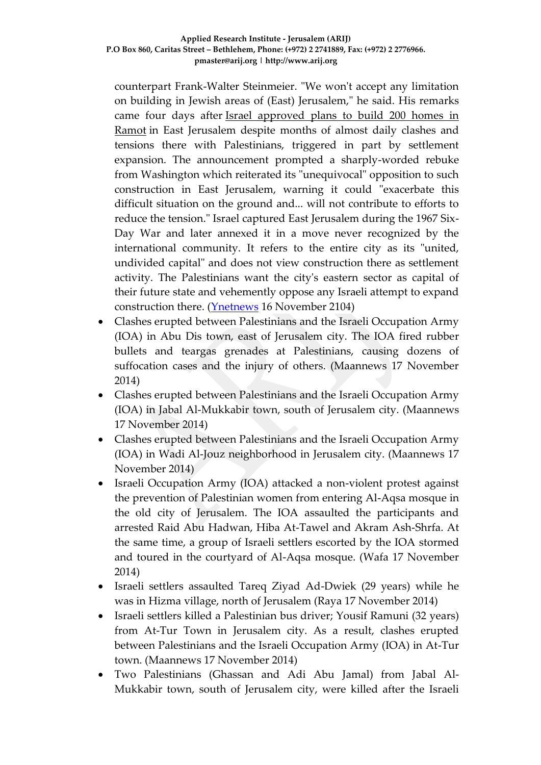counterpart Frank-Walter Steinmeier. "We won't accept any limitation on building in Jewish areas of (East) Jerusalem," he said. His remarks came four days after [Israel approved plans to build 200 homes in](http://www.ynetnews.com/articles/0,7340,L-4591370,00.html)  [Ramot](http://www.ynetnews.com/articles/0,7340,L-4591370,00.html) in East Jerusalem despite months of almost daily clashes and tensions there with Palestinians, triggered in part by settlement expansion. The announcement prompted a sharply-worded rebuke from Washington which reiterated its "unequivocal" opposition to such construction in East Jerusalem, warning it could "exacerbate this difficult situation on the ground and... will not contribute to efforts to reduce the tension." Israel captured East Jerusalem during the 1967 Six-Day War and later annexed it in a move never recognized by the international community. It refers to the entire city as its "united, undivided capital" and does not view construction there as settlement activity. The Palestinians want the city's eastern sector as capital of their future state and vehemently oppose any Israeli attempt to expand construction there. [\(Ynetnews](http://www.ynetnews.com/articles/0,7340,L-4592392,00.html) 16 November 2104)

- Clashes erupted between Palestinians and the Israeli Occupation Army (IOA) in Abu Dis town, east of Jerusalem city. The IOA fired rubber bullets and teargas grenades at Palestinians, causing dozens of suffocation cases and the injury of others. (Maannews 17 November 2014)
- Clashes erupted between Palestinians and the Israeli Occupation Army (IOA) in Jabal Al-Mukkabir town, south of Jerusalem city. (Maannews 17 November 2014)
- Clashes erupted between Palestinians and the Israeli Occupation Army (IOA) in Wadi Al-Jouz neighborhood in Jerusalem city. (Maannews 17 November 2014)
- Israeli Occupation Army (IOA) attacked a non-violent protest against the prevention of Palestinian women from entering Al-Aqsa mosque in the old city of Jerusalem. The IOA assaulted the participants and arrested Raid Abu Hadwan, Hiba At-Tawel and Akram Ash-Shrfa. At the same time, a group of Israeli settlers escorted by the IOA stormed and toured in the courtyard of Al-Aqsa mosque. (Wafa 17 November 2014)
- Israeli settlers assaulted Tareq Ziyad Ad-Dwiek (29 years) while he was in Hizma village, north of Jerusalem (Raya 17 November 2014)
- Israeli settlers killed a Palestinian bus driver; Yousif Ramuni (32 years) from At-Tur Town in Jerusalem city. As a result, clashes erupted between Palestinians and the Israeli Occupation Army (IOA) in At-Tur town. (Maannews 17 November 2014)
- Two Palestinians (Ghassan and Adi Abu Jamal) from Jabal Al-Mukkabir town, south of Jerusalem city, were killed after the Israeli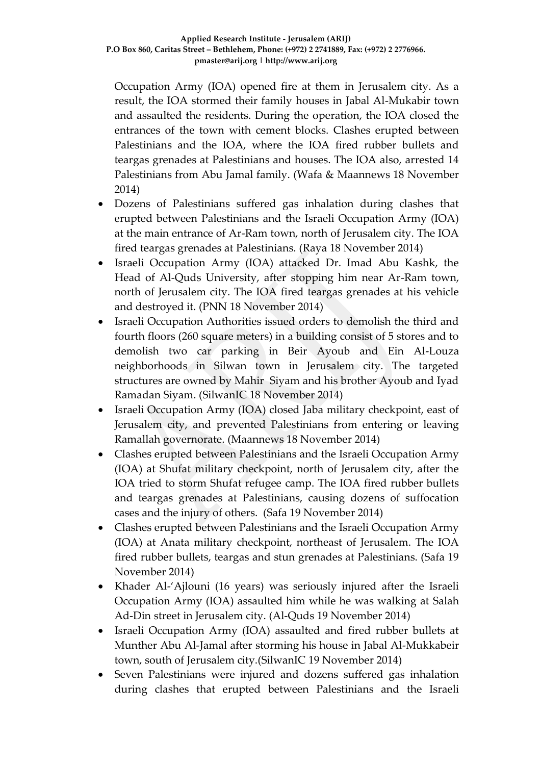Occupation Army (IOA) opened fire at them in Jerusalem city. As a result, the IOA stormed their family houses in Jabal Al-Mukabir town and assaulted the residents. During the operation, the IOA closed the entrances of the town with cement blocks. Clashes erupted between Palestinians and the IOA, where the IOA fired rubber bullets and teargas grenades at Palestinians and houses. The IOA also, arrested 14 Palestinians from Abu Jamal family. (Wafa & Maannews 18 November 2014)

- Dozens of Palestinians suffered gas inhalation during clashes that erupted between Palestinians and the Israeli Occupation Army (IOA) at the main entrance of Ar-Ram town, north of Jerusalem city. The IOA fired teargas grenades at Palestinians. (Raya 18 November 2014)
- Israeli Occupation Army (IOA) attacked Dr. Imad Abu Kashk, the Head of Al-Quds University, after stopping him near Ar-Ram town, north of Jerusalem city. The IOA fired teargas grenades at his vehicle and destroyed it. (PNN 18 November 2014)
- Israeli Occupation Authorities issued orders to demolish the third and fourth floors (260 square meters) in a building consist of 5 stores and to demolish two car parking in Beir Ayoub and Ein Al-Louza neighborhoods in Silwan town in Jerusalem city. The targeted structures are owned by Mahir Siyam and his brother Ayoub and Iyad Ramadan Siyam. (SilwanIC 18 November 2014)
- Israeli Occupation Army (IOA) closed Jaba military checkpoint, east of Jerusalem city, and prevented Palestinians from entering or leaving Ramallah governorate. (Maannews 18 November 2014)
- Clashes erupted between Palestinians and the Israeli Occupation Army (IOA) at Shufat military checkpoint, north of Jerusalem city, after the IOA tried to storm Shufat refugee camp. The IOA fired rubber bullets and teargas grenades at Palestinians, causing dozens of suffocation cases and the injury of others. (Safa 19 November 2014)
- Clashes erupted between Palestinians and the Israeli Occupation Army (IOA) at Anata military checkpoint, northeast of Jerusalem. The IOA fired rubber bullets, teargas and stun grenades at Palestinians. (Safa 19 November 2014)
- Khader Al-'Ajlouni (16 years) was seriously injured after the Israeli Occupation Army (IOA) assaulted him while he was walking at Salah Ad-Din street in Jerusalem city. (Al-Quds 19 November 2014)
- Israeli Occupation Army (IOA) assaulted and fired rubber bullets at Munther Abu Al-Jamal after storming his house in Jabal Al-Mukkabeir town, south of Jerusalem city.(SilwanIC 19 November 2014)
- Seven Palestinians were injured and dozens suffered gas inhalation during clashes that erupted between Palestinians and the Israeli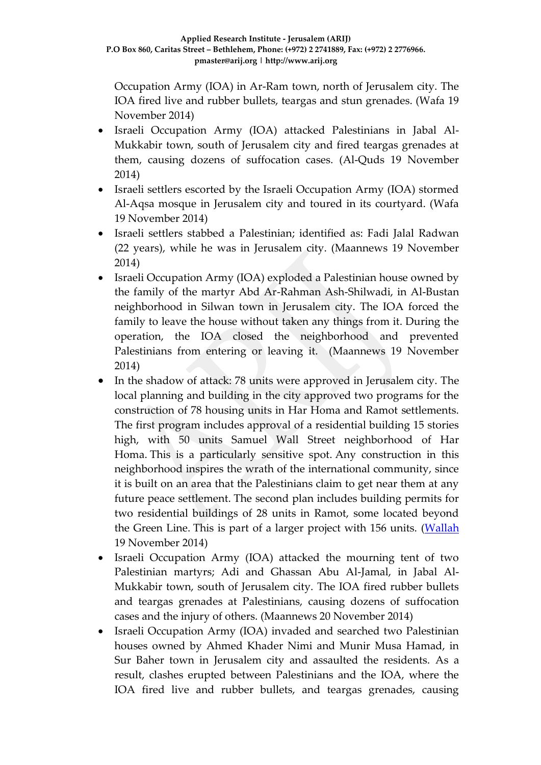Occupation Army (IOA) in Ar-Ram town, north of Jerusalem city. The IOA fired live and rubber bullets, teargas and stun grenades. (Wafa 19 November 2014)

- Israeli Occupation Army (IOA) attacked Palestinians in Jabal Al-Mukkabir town, south of Jerusalem city and fired teargas grenades at them, causing dozens of suffocation cases. (Al-Quds 19 November 2014)
- Israeli settlers escorted by the Israeli Occupation Army (IOA) stormed Al-Aqsa mosque in Jerusalem city and toured in its courtyard. (Wafa 19 November 2014)
- Israeli settlers stabbed a Palestinian; identified as: Fadi Jalal Radwan (22 years), while he was in Jerusalem city. (Maannews 19 November 2014)
- Israeli Occupation Army (IOA) exploded a Palestinian house owned by the family of the martyr Abd Ar-Rahman Ash-Shilwadi, in Al-Bustan neighborhood in Silwan town in Jerusalem city. The IOA forced the family to leave the house without taken any things from it. During the operation, the IOA closed the neighborhood and prevented Palestinians from entering or leaving it. (Maannews 19 November 2014)
- In the shadow of attack: 78 units were approved in Jerusalem city. The local planning and building in the city approved two programs for the construction of 78 housing units in Har Homa and Ramot settlements. The first program includes approval of a residential building 15 stories high, with 50 units Samuel Wall Street neighborhood of Har Homa. This is a particularly sensitive spot. Any construction in this neighborhood inspires the wrath of the international community, since it is built on an area that the Palestinians claim to get near them at any future peace settlement. The second plan includes building permits for two residential buildings of 28 units in Ramot, some located beyond the Green Line. This is part of a larger project with 156 units. [\(Wallah](http://news.walla.co.il/item/2803158) 19 November 2014)
- Israeli Occupation Army (IOA) attacked the mourning tent of two Palestinian martyrs; Adi and Ghassan Abu Al-Jamal, in Jabal Al-Mukkabir town, south of Jerusalem city. The IOA fired rubber bullets and teargas grenades at Palestinians, causing dozens of suffocation cases and the injury of others. (Maannews 20 November 2014)
- Israeli Occupation Army (IOA) invaded and searched two Palestinian houses owned by Ahmed Khader Nimi and Munir Musa Hamad, in Sur Baher town in Jerusalem city and assaulted the residents. As a result, clashes erupted between Palestinians and the IOA, where the IOA fired live and rubber bullets, and teargas grenades, causing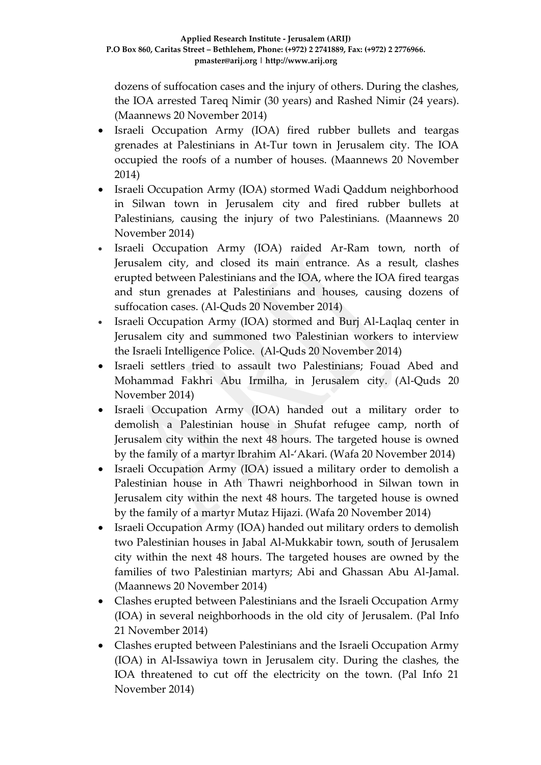dozens of suffocation cases and the injury of others. During the clashes, the IOA arrested Tareq Nimir (30 years) and Rashed Nimir (24 years). (Maannews 20 November 2014)

- Israeli Occupation Army (IOA) fired rubber bullets and teargas grenades at Palestinians in At-Tur town in Jerusalem city. The IOA occupied the roofs of a number of houses. (Maannews 20 November 2014)
- Israeli Occupation Army (IOA) stormed Wadi Qaddum neighborhood in Silwan town in Jerusalem city and fired rubber bullets at Palestinians, causing the injury of two Palestinians. (Maannews 20 November 2014)
- Israeli Occupation Army (IOA) raided Ar-Ram town, north of Jerusalem city, and closed its main entrance. As a result, clashes erupted between Palestinians and the IOA, where the IOA fired teargas and stun grenades at Palestinians and houses, causing dozens of suffocation cases. (Al-Quds 20 November 2014)
- Israeli Occupation Army (IOA) stormed and Burj Al-Laqlaq center in Jerusalem city and summoned two Palestinian workers to interview the Israeli Intelligence Police. (Al-Quds 20 November 2014)
- Israeli settlers tried to assault two Palestinians; Fouad Abed and Mohammad Fakhri Abu Irmilha, in Jerusalem city. (Al-Quds 20 November 2014)
- Israeli Occupation Army (IOA) handed out a military order to demolish a Palestinian house in Shufat refugee camp, north of Jerusalem city within the next 48 hours. The targeted house is owned by the family of a martyr Ibrahim Al-'Akari. (Wafa 20 November 2014)
- Israeli Occupation Army (IOA) issued a military order to demolish a Palestinian house in Ath Thawri neighborhood in Silwan town in Jerusalem city within the next 48 hours. The targeted house is owned by the family of a martyr Mutaz Hijazi. (Wafa 20 November 2014)
- Israeli Occupation Army (IOA) handed out military orders to demolish two Palestinian houses in Jabal Al-Mukkabir town, south of Jerusalem city within the next 48 hours. The targeted houses are owned by the families of two Palestinian martyrs; Abi and Ghassan Abu Al-Jamal. (Maannews 20 November 2014)
- Clashes erupted between Palestinians and the Israeli Occupation Army (IOA) in several neighborhoods in the old city of Jerusalem. (Pal Info 21 November 2014)
- Clashes erupted between Palestinians and the Israeli Occupation Army (IOA) in Al-Issawiya town in Jerusalem city. During the clashes, the IOA threatened to cut off the electricity on the town. (Pal Info 21 November 2014)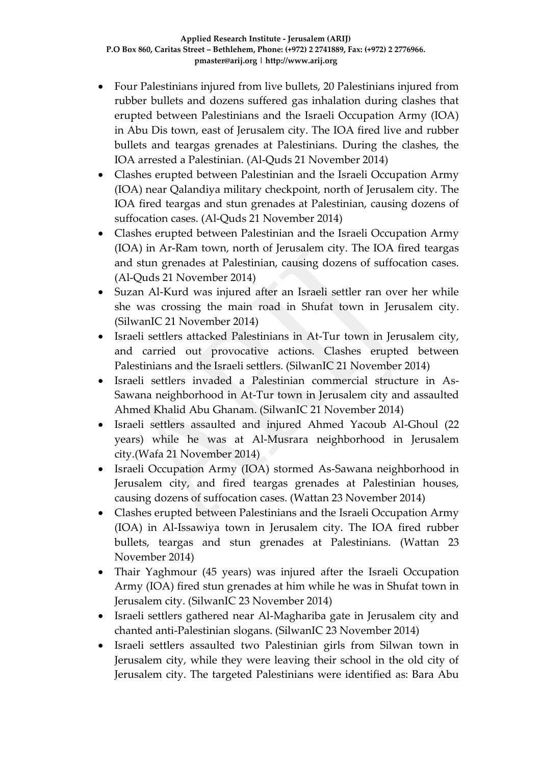- Four Palestinians injured from live bullets, 20 Palestinians injured from rubber bullets and dozens suffered gas inhalation during clashes that erupted between Palestinians and the Israeli Occupation Army (IOA) in Abu Dis town, east of Jerusalem city. The IOA fired live and rubber bullets and teargas grenades at Palestinians. During the clashes, the IOA arrested a Palestinian. (Al-Quds 21 November 2014)
- Clashes erupted between Palestinian and the Israeli Occupation Army (IOA) near Qalandiya military checkpoint, north of Jerusalem city. The IOA fired teargas and stun grenades at Palestinian, causing dozens of suffocation cases. (Al-Quds 21 November 2014)
- Clashes erupted between Palestinian and the Israeli Occupation Army (IOA) in Ar-Ram town, north of Jerusalem city. The IOA fired teargas and stun grenades at Palestinian, causing dozens of suffocation cases. (Al-Quds 21 November 2014)
- Suzan Al-Kurd was injured after an Israeli settler ran over her while she was crossing the main road in Shufat town in Jerusalem city. (SilwanIC 21 November 2014)
- Israeli settlers attacked Palestinians in At-Tur town in Jerusalem city, and carried out provocative actions. Clashes erupted between Palestinians and the Israeli settlers. (SilwanIC 21 November 2014)
- Israeli settlers invaded a Palestinian commercial structure in As-Sawana neighborhood in At-Tur town in Jerusalem city and assaulted Ahmed Khalid Abu Ghanam. (SilwanIC 21 November 2014)
- Israeli settlers assaulted and injured Ahmed Yacoub Al-Ghoul (22 years) while he was at Al-Musrara neighborhood in Jerusalem city.(Wafa 21 November 2014)
- Israeli Occupation Army (IOA) stormed As-Sawana neighborhood in Jerusalem city, and fired teargas grenades at Palestinian houses, causing dozens of suffocation cases. (Wattan 23 November 2014)
- Clashes erupted between Palestinians and the Israeli Occupation Army (IOA) in Al-Issawiya town in Jerusalem city. The IOA fired rubber bullets, teargas and stun grenades at Palestinians. (Wattan 23 November 2014)
- Thair Yaghmour (45 years) was injured after the Israeli Occupation Army (IOA) fired stun grenades at him while he was in Shufat town in Jerusalem city. (SilwanIC 23 November 2014)
- Israeli settlers gathered near Al-Maghariba gate in Jerusalem city and chanted anti-Palestinian slogans. (SilwanIC 23 November 2014)
- Israeli settlers assaulted two Palestinian girls from Silwan town in Jerusalem city, while they were leaving their school in the old city of Jerusalem city. The targeted Palestinians were identified as: Bara Abu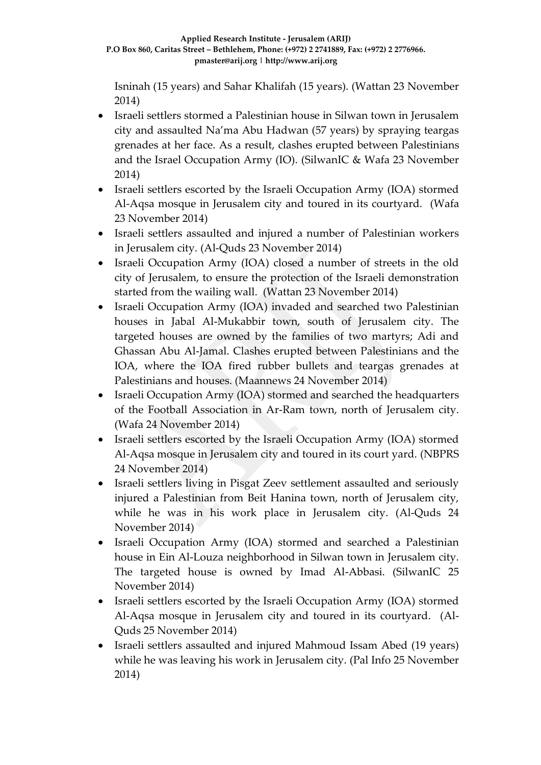Isninah (15 years) and Sahar Khalifah (15 years). (Wattan 23 November 2014)

- Israeli settlers stormed a Palestinian house in Silwan town in Jerusalem city and assaulted Na'ma Abu Hadwan (57 years) by spraying teargas grenades at her face. As a result, clashes erupted between Palestinians and the Israel Occupation Army (IO). (SilwanIC & Wafa 23 November 2014)
- Israeli settlers escorted by the Israeli Occupation Army (IOA) stormed Al-Aqsa mosque in Jerusalem city and toured in its courtyard. (Wafa 23 November 2014)
- Israeli settlers assaulted and injured a number of Palestinian workers in Jerusalem city. (Al-Quds 23 November 2014)
- Israeli Occupation Army (IOA) closed a number of streets in the old city of Jerusalem, to ensure the protection of the Israeli demonstration started from the wailing wall. (Wattan 23 November 2014)
- Israeli Occupation Army (IOA) invaded and searched two Palestinian houses in Jabal Al-Mukabbir town, south of Jerusalem city. The targeted houses are owned by the families of two martyrs; Adi and Ghassan Abu Al-Jamal. Clashes erupted between Palestinians and the IOA, where the IOA fired rubber bullets and teargas grenades at Palestinians and houses. (Maannews 24 November 2014)
- Israeli Occupation Army (IOA) stormed and searched the headquarters of the Football Association in Ar-Ram town, north of Jerusalem city. (Wafa 24 November 2014)
- Israeli settlers escorted by the Israeli Occupation Army (IOA) stormed Al-Aqsa mosque in Jerusalem city and toured in its court yard. (NBPRS 24 November 2014)
- Israeli settlers living in Pisgat Zeev settlement assaulted and seriously injured a Palestinian from Beit Hanina town, north of Jerusalem city, while he was in his work place in Jerusalem city. (Al-Quds 24 November 2014)
- Israeli Occupation Army (IOA) stormed and searched a Palestinian house in Ein Al-Louza neighborhood in Silwan town in Jerusalem city. The targeted house is owned by Imad Al-Abbasi. (SilwanIC 25 November 2014)
- Israeli settlers escorted by the Israeli Occupation Army (IOA) stormed Al-Aqsa mosque in Jerusalem city and toured in its courtyard. (Al-Quds 25 November 2014)
- Israeli settlers assaulted and injured Mahmoud Issam Abed (19 years) while he was leaving his work in Jerusalem city. (Pal Info 25 November 2014)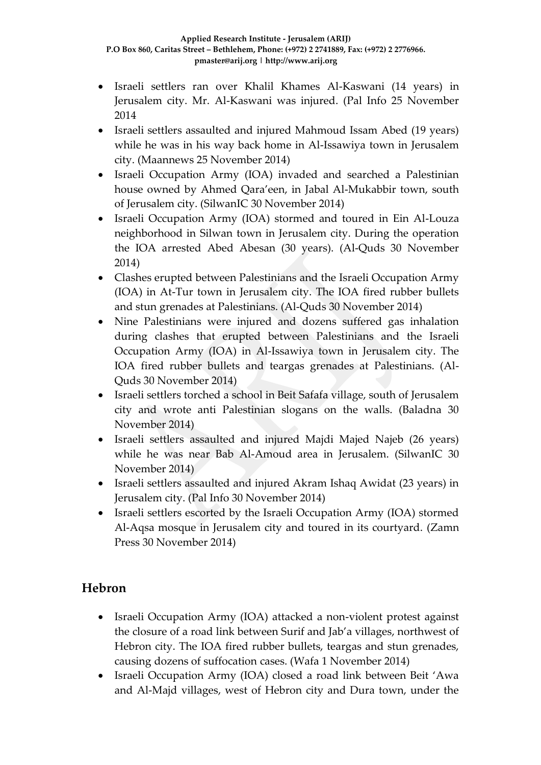- Israeli settlers ran over Khalil Khames Al-Kaswani (14 years) in Jerusalem city. Mr. Al-Kaswani was injured. (Pal Info 25 November 2014
- Israeli settlers assaulted and injured Mahmoud Issam Abed (19 years) while he was in his way back home in Al-Issawiya town in Jerusalem city. (Maannews 25 November 2014)
- Israeli Occupation Army (IOA) invaded and searched a Palestinian house owned by Ahmed Qara'een, in Jabal Al-Mukabbir town, south of Jerusalem city. (SilwanIC 30 November 2014)
- Israeli Occupation Army (IOA) stormed and toured in Ein Al-Louza neighborhood in Silwan town in Jerusalem city. During the operation the IOA arrested Abed Abesan (30 years). (Al-Quds 30 November 2014)
- Clashes erupted between Palestinians and the Israeli Occupation Army (IOA) in At-Tur town in Jerusalem city. The IOA fired rubber bullets and stun grenades at Palestinians. (Al-Quds 30 November 2014)
- Nine Palestinians were injured and dozens suffered gas inhalation during clashes that erupted between Palestinians and the Israeli Occupation Army (IOA) in Al-Issawiya town in Jerusalem city. The IOA fired rubber bullets and teargas grenades at Palestinians. (Al-Quds 30 November 2014)
- Israeli settlers torched a school in Beit Safafa village, south of Jerusalem city and wrote anti Palestinian slogans on the walls. (Baladna 30 November 2014)
- Israeli settlers assaulted and injured Majdi Majed Najeb (26 years) while he was near Bab Al-Amoud area in Jerusalem. (SilwanIC 30 November 2014)
- Israeli settlers assaulted and injured Akram Ishaq Awidat (23 years) in Jerusalem city. (Pal Info 30 November 2014)
- Israeli settlers escorted by the Israeli Occupation Army (IOA) stormed Al-Aqsa mosque in Jerusalem city and toured in its courtyard. (Zamn Press 30 November 2014)

# **Hebron**

- Israeli Occupation Army (IOA) attacked a non-violent protest against the closure of a road link between Surif and Jab'a villages, northwest of Hebron city. The IOA fired rubber bullets, teargas and stun grenades, causing dozens of suffocation cases. (Wafa 1 November 2014)
- Israeli Occupation Army (IOA) closed a road link between Beit 'Awa and Al-Majd villages, west of Hebron city and Dura town, under the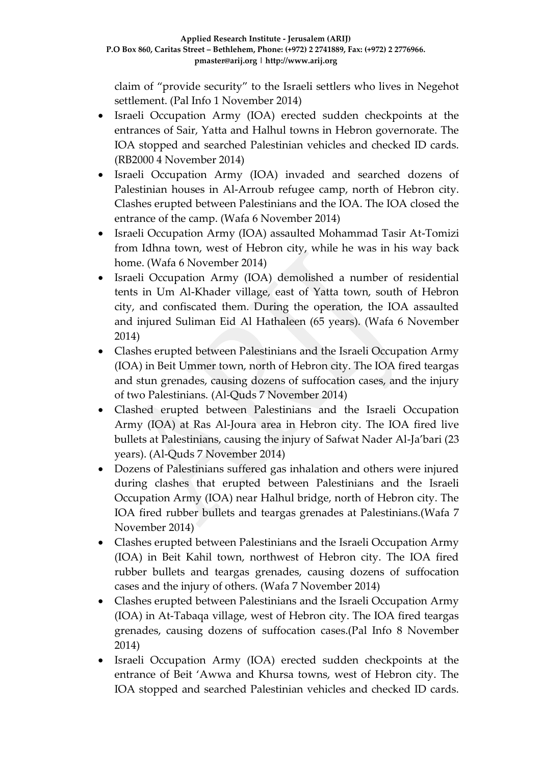claim of "provide security" to the Israeli settlers who lives in Negehot settlement. (Pal Info 1 November 2014)

- Israeli Occupation Army (IOA) erected sudden checkpoints at the entrances of Sair, Yatta and Halhul towns in Hebron governorate. The IOA stopped and searched Palestinian vehicles and checked ID cards. (RB2000 4 November 2014)
- Israeli Occupation Army (IOA) invaded and searched dozens of Palestinian houses in Al-Arroub refugee camp, north of Hebron city. Clashes erupted between Palestinians and the IOA. The IOA closed the entrance of the camp. (Wafa 6 November 2014)
- Israeli Occupation Army (IOA) assaulted Mohammad Tasir At-Tomizi from Idhna town, west of Hebron city, while he was in his way back home. (Wafa 6 November 2014)
- Israeli Occupation Army (IOA) demolished a number of residential tents in Um Al-Khader village, east of Yatta town, south of Hebron city, and confiscated them. During the operation, the IOA assaulted and injured Suliman Eid Al Hathaleen (65 years). (Wafa 6 November 2014)
- Clashes erupted between Palestinians and the Israeli Occupation Army (IOA) in Beit Ummer town, north of Hebron city. The IOA fired teargas and stun grenades, causing dozens of suffocation cases, and the injury of two Palestinians. (Al-Quds 7 November 2014)
- Clashed erupted between Palestinians and the Israeli Occupation Army (IOA) at Ras Al-Joura area in Hebron city. The IOA fired live bullets at Palestinians, causing the injury of Safwat Nader Al-Ja'bari (23 years). (Al-Quds 7 November 2014)
- Dozens of Palestinians suffered gas inhalation and others were injured during clashes that erupted between Palestinians and the Israeli Occupation Army (IOA) near Halhul bridge, north of Hebron city. The IOA fired rubber bullets and teargas grenades at Palestinians.(Wafa 7 November 2014)
- Clashes erupted between Palestinians and the Israeli Occupation Army (IOA) in Beit Kahil town, northwest of Hebron city. The IOA fired rubber bullets and teargas grenades, causing dozens of suffocation cases and the injury of others. (Wafa 7 November 2014)
- Clashes erupted between Palestinians and the Israeli Occupation Army (IOA) in At-Tabaqa village, west of Hebron city. The IOA fired teargas grenades, causing dozens of suffocation cases.(Pal Info 8 November 2014)
- Israeli Occupation Army (IOA) erected sudden checkpoints at the entrance of Beit 'Awwa and Khursa towns, west of Hebron city. The IOA stopped and searched Palestinian vehicles and checked ID cards.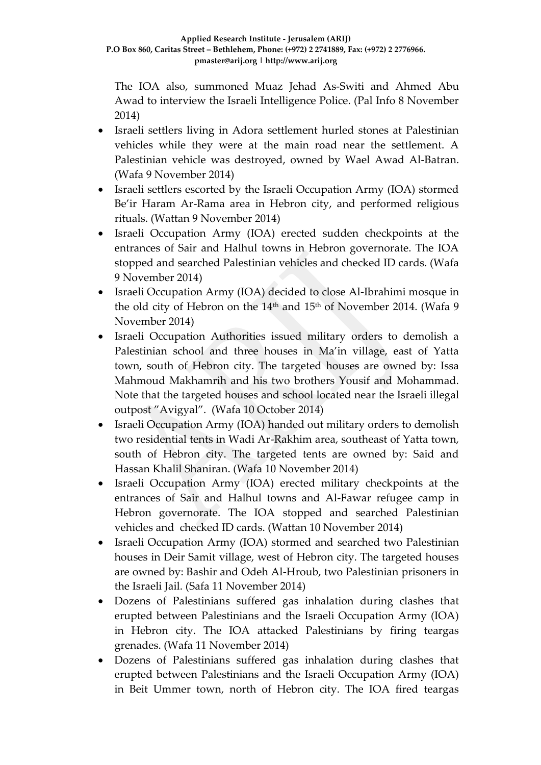The IOA also, summoned Muaz Jehad As-Switi and Ahmed Abu Awad to interview the Israeli Intelligence Police. (Pal Info 8 November 2014)

- Israeli settlers living in Adora settlement hurled stones at Palestinian vehicles while they were at the main road near the settlement. A Palestinian vehicle was destroyed, owned by Wael Awad Al-Batran. (Wafa 9 November 2014)
- Israeli settlers escorted by the Israeli Occupation Army (IOA) stormed Be'ir Haram Ar-Rama area in Hebron city, and performed religious rituals. (Wattan 9 November 2014)
- Israeli Occupation Army (IOA) erected sudden checkpoints at the entrances of Sair and Halhul towns in Hebron governorate. The IOA stopped and searched Palestinian vehicles and checked ID cards. (Wafa 9 November 2014)
- Israeli Occupation Army (IOA) decided to close Al-Ibrahimi mosque in the old city of Hebron on the 14<sup>th</sup> and 15<sup>th</sup> of November 2014. (Wafa 9 November 2014)
- Israeli Occupation Authorities issued military orders to demolish a Palestinian school and three houses in Ma'in village, east of Yatta town, south of Hebron city. The targeted houses are owned by: Issa Mahmoud Makhamrih and his two brothers Yousif and Mohammad. Note that the targeted houses and school located near the Israeli illegal outpost "Avigyal". (Wafa 10 October 2014)
- Israeli Occupation Army (IOA) handed out military orders to demolish two residential tents in Wadi Ar-Rakhim area, southeast of Yatta town, south of Hebron city. The targeted tents are owned by: Said and Hassan Khalil Shaniran. (Wafa 10 November 2014)
- Israeli Occupation Army (IOA) erected military checkpoints at the entrances of Sair and Halhul towns and Al-Fawar refugee camp in Hebron governorate. The IOA stopped and searched Palestinian vehicles and checked ID cards. (Wattan 10 November 2014)
- Israeli Occupation Army (IOA) stormed and searched two Palestinian houses in Deir Samit village, west of Hebron city. The targeted houses are owned by: Bashir and Odeh Al-Hroub, two Palestinian prisoners in the Israeli Jail. (Safa 11 November 2014)
- Dozens of Palestinians suffered gas inhalation during clashes that erupted between Palestinians and the Israeli Occupation Army (IOA) in Hebron city. The IOA attacked Palestinians by firing teargas grenades. (Wafa 11 November 2014)
- Dozens of Palestinians suffered gas inhalation during clashes that erupted between Palestinians and the Israeli Occupation Army (IOA) in Beit Ummer town, north of Hebron city. The IOA fired teargas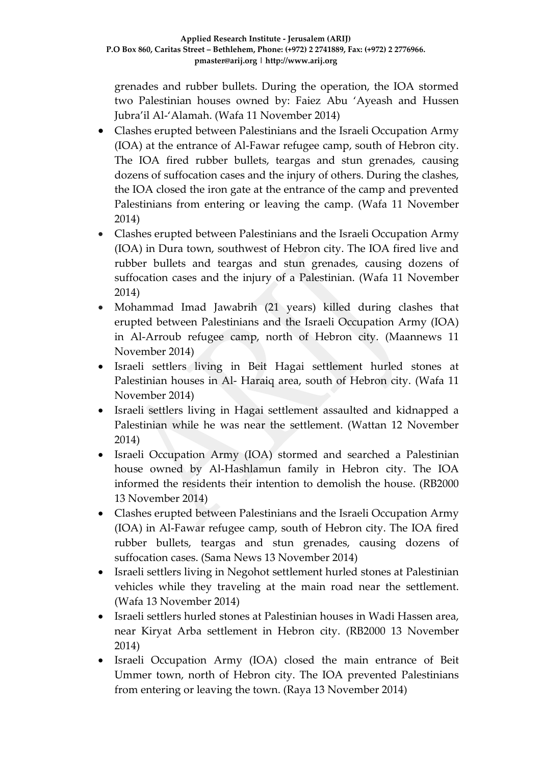grenades and rubber bullets. During the operation, the IOA stormed two Palestinian houses owned by: Faiez Abu 'Ayeash and Hussen Jubra'il Al-'Alamah. (Wafa 11 November 2014)

- Clashes erupted between Palestinians and the Israeli Occupation Army (IOA) at the entrance of Al-Fawar refugee camp, south of Hebron city. The IOA fired rubber bullets, teargas and stun grenades, causing dozens of suffocation cases and the injury of others. During the clashes, the IOA closed the iron gate at the entrance of the camp and prevented Palestinians from entering or leaving the camp. (Wafa 11 November 2014)
- Clashes erupted between Palestinians and the Israeli Occupation Army (IOA) in Dura town, southwest of Hebron city. The IOA fired live and rubber bullets and teargas and stun grenades, causing dozens of suffocation cases and the injury of a Palestinian. (Wafa 11 November 2014)
- Mohammad Imad Jawabrih (21 years) killed during clashes that erupted between Palestinians and the Israeli Occupation Army (IOA) in Al-Arroub refugee camp, north of Hebron city. (Maannews 11 November 2014)
- Israeli settlers living in Beit Hagai settlement hurled stones at Palestinian houses in Al- Haraiq area, south of Hebron city. (Wafa 11 November 2014)
- Israeli settlers living in Hagai settlement assaulted and kidnapped a Palestinian while he was near the settlement. (Wattan 12 November 2014)
- Israeli Occupation Army (IOA) stormed and searched a Palestinian house owned by Al-Hashlamun family in Hebron city. The IOA informed the residents their intention to demolish the house. (RB2000 13 November 2014)
- Clashes erupted between Palestinians and the Israeli Occupation Army (IOA) in Al-Fawar refugee camp, south of Hebron city. The IOA fired rubber bullets, teargas and stun grenades, causing dozens of suffocation cases. (Sama News 13 November 2014)
- Israeli settlers living in Negohot settlement hurled stones at Palestinian vehicles while they traveling at the main road near the settlement. (Wafa 13 November 2014)
- Israeli settlers hurled stones at Palestinian houses in Wadi Hassen area, near Kiryat Arba settlement in Hebron city. (RB2000 13 November 2014)
- Israeli Occupation Army (IOA) closed the main entrance of Beit Ummer town, north of Hebron city. The IOA prevented Palestinians from entering or leaving the town. (Raya 13 November 2014)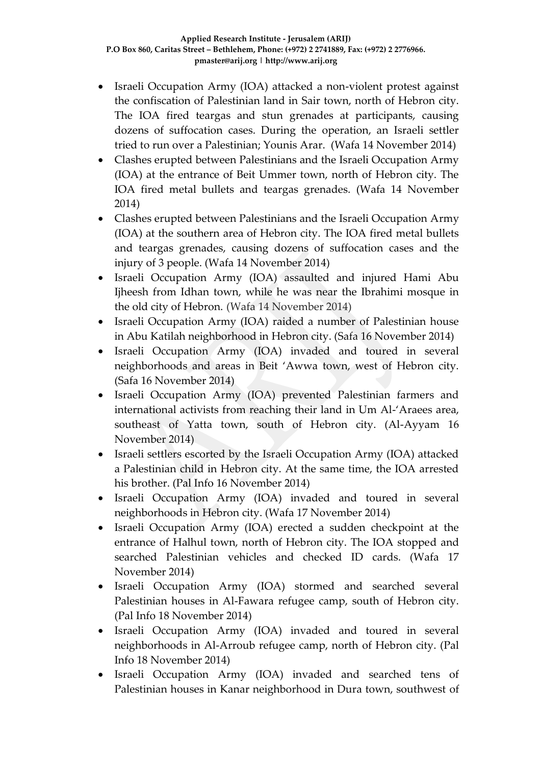- Israeli Occupation Army (IOA) attacked a non-violent protest against the confiscation of Palestinian land in Sair town, north of Hebron city. The IOA fired teargas and stun grenades at participants, causing dozens of suffocation cases. During the operation, an Israeli settler tried to run over a Palestinian; Younis Arar. (Wafa 14 November 2014)
- Clashes erupted between Palestinians and the Israeli Occupation Army (IOA) at the entrance of Beit Ummer town, north of Hebron city. The IOA fired metal bullets and teargas grenades. (Wafa 14 November 2014)
- Clashes erupted between Palestinians and the Israeli Occupation Army (IOA) at the southern area of Hebron city. The IOA fired metal bullets and teargas grenades, causing dozens of suffocation cases and the injury of 3 people. (Wafa 14 November 2014)
- Israeli Occupation Army (IOA) assaulted and injured Hami Abu Ijheesh from Idhan town, while he was near the Ibrahimi mosque in the old city of Hebron. (Wafa 14 November 2014)
- Israeli Occupation Army (IOA) raided a number of Palestinian house in Abu Katilah neighborhood in Hebron city. (Safa 16 November 2014)
- Israeli Occupation Army (IOA) invaded and toured in several neighborhoods and areas in Beit 'Awwa town, west of Hebron city. (Safa 16 November 2014)
- Israeli Occupation Army (IOA) prevented Palestinian farmers and international activists from reaching their land in Um Al-'Araees area, southeast of Yatta town, south of Hebron city. (Al-Ayyam 16 November 2014)
- Israeli settlers escorted by the Israeli Occupation Army (IOA) attacked a Palestinian child in Hebron city. At the same time, the IOA arrested his brother. (Pal Info 16 November 2014)
- Israeli Occupation Army (IOA) invaded and toured in several neighborhoods in Hebron city. (Wafa 17 November 2014)
- Israeli Occupation Army (IOA) erected a sudden checkpoint at the entrance of Halhul town, north of Hebron city. The IOA stopped and searched Palestinian vehicles and checked ID cards. (Wafa 17 November 2014)
- Israeli Occupation Army (IOA) stormed and searched several Palestinian houses in Al-Fawara refugee camp, south of Hebron city. (Pal Info 18 November 2014)
- Israeli Occupation Army (IOA) invaded and toured in several neighborhoods in Al-Arroub refugee camp, north of Hebron city. (Pal Info 18 November 2014)
- Israeli Occupation Army (IOA) invaded and searched tens of Palestinian houses in Kanar neighborhood in Dura town, southwest of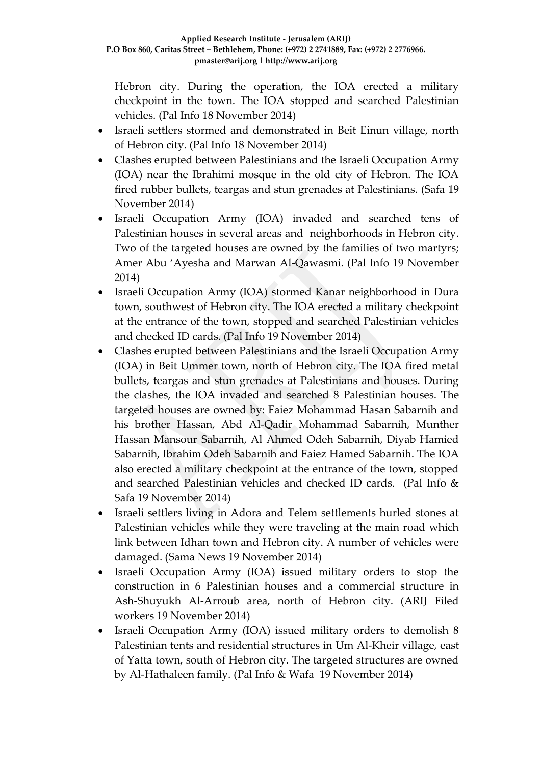Hebron city. During the operation, the IOA erected a military checkpoint in the town. The IOA stopped and searched Palestinian vehicles. (Pal Info 18 November 2014)

- Israeli settlers stormed and demonstrated in Beit Einun village, north of Hebron city. (Pal Info 18 November 2014)
- Clashes erupted between Palestinians and the Israeli Occupation Army (IOA) near the Ibrahimi mosque in the old city of Hebron. The IOA fired rubber bullets, teargas and stun grenades at Palestinians. (Safa 19 November 2014)
- Israeli Occupation Army (IOA) invaded and searched tens of Palestinian houses in several areas and neighborhoods in Hebron city. Two of the targeted houses are owned by the families of two martyrs; Amer Abu 'Ayesha and Marwan Al-Qawasmi. (Pal Info 19 November 2014)
- Israeli Occupation Army (IOA) stormed Kanar neighborhood in Dura town, southwest of Hebron city. The IOA erected a military checkpoint at the entrance of the town, stopped and searched Palestinian vehicles and checked ID cards. (Pal Info 19 November 2014)
- Clashes erupted between Palestinians and the Israeli Occupation Army (IOA) in Beit Ummer town, north of Hebron city. The IOA fired metal bullets, teargas and stun grenades at Palestinians and houses. During the clashes, the IOA invaded and searched 8 Palestinian houses. The targeted houses are owned by: Faiez Mohammad Hasan Sabarnih and his brother Hassan, Abd Al-Qadir Mohammad Sabarnih, Munther Hassan Mansour Sabarnih, Al Ahmed Odeh Sabarnih, Diyab Hamied Sabarnih, Ibrahim Odeh Sabarnih and Faiez Hamed Sabarnih. The IOA also erected a military checkpoint at the entrance of the town, stopped and searched Palestinian vehicles and checked ID cards. (Pal Info & Safa 19 November 2014)
- Israeli settlers living in Adora and Telem settlements hurled stones at Palestinian vehicles while they were traveling at the main road which link between Idhan town and Hebron city. A number of vehicles were damaged. (Sama News 19 November 2014)
- Israeli Occupation Army (IOA) issued military orders to stop the construction in 6 Palestinian houses and a commercial structure in Ash-Shuyukh Al-Arroub area, north of Hebron city. (ARIJ Filed workers 19 November 2014)
- Israeli Occupation Army (IOA) issued military orders to demolish 8 Palestinian tents and residential structures in Um Al-Kheir village, east of Yatta town, south of Hebron city. The targeted structures are owned by Al-Hathaleen family. (Pal Info & Wafa 19 November 2014)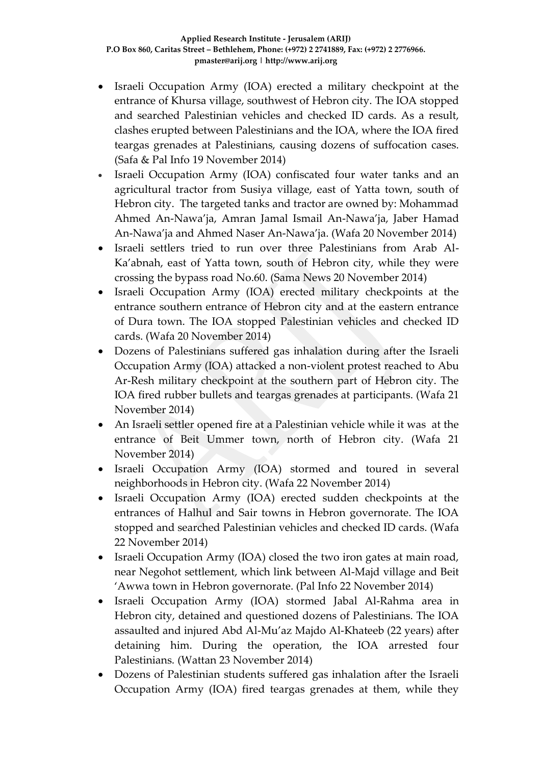- Israeli Occupation Army (IOA) erected a military checkpoint at the entrance of Khursa village, southwest of Hebron city. The IOA stopped and searched Palestinian vehicles and checked ID cards. As a result, clashes erupted between Palestinians and the IOA, where the IOA fired teargas grenades at Palestinians, causing dozens of suffocation cases. (Safa & Pal Info 19 November 2014)
- Israeli Occupation Army (IOA) confiscated four water tanks and an agricultural tractor from Susiya village, east of Yatta town, south of Hebron city. The targeted tanks and tractor are owned by: Mohammad Ahmed An-Nawa'ja, Amran Jamal Ismail An-Nawa'ja, Jaber Hamad An-Nawa'ja and Ahmed Naser An-Nawa'ja. (Wafa 20 November 2014)
- Israeli settlers tried to run over three Palestinians from Arab Al-Ka'abnah, east of Yatta town, south of Hebron city, while they were crossing the bypass road No.60. (Sama News 20 November 2014)
- Israeli Occupation Army (IOA) erected military checkpoints at the entrance southern entrance of Hebron city and at the eastern entrance of Dura town. The IOA stopped Palestinian vehicles and checked ID cards. (Wafa 20 November 2014)
- Dozens of Palestinians suffered gas inhalation during after the Israeli Occupation Army (IOA) attacked a non-violent protest reached to Abu Ar-Resh military checkpoint at the southern part of Hebron city. The IOA fired rubber bullets and teargas grenades at participants. (Wafa 21 November 2014)
- An Israeli settler opened fire at a Palestinian vehicle while it was at the entrance of Beit Ummer town, north of Hebron city. (Wafa 21 November 2014)
- Israeli Occupation Army (IOA) stormed and toured in several neighborhoods in Hebron city. (Wafa 22 November 2014)
- Israeli Occupation Army (IOA) erected sudden checkpoints at the entrances of Halhul and Sair towns in Hebron governorate. The IOA stopped and searched Palestinian vehicles and checked ID cards. (Wafa 22 November 2014)
- Israeli Occupation Army (IOA) closed the two iron gates at main road, near Negohot settlement, which link between Al-Majd village and Beit 'Awwa town in Hebron governorate. (Pal Info 22 November 2014)
- Israeli Occupation Army (IOA) stormed Jabal Al-Rahma area in Hebron city, detained and questioned dozens of Palestinians. The IOA assaulted and injured Abd Al-Mu'az Majdo Al-Khateeb (22 years) after detaining him. During the operation, the IOA arrested four Palestinians. (Wattan 23 November 2014)
- Dozens of Palestinian students suffered gas inhalation after the Israeli Occupation Army (IOA) fired teargas grenades at them, while they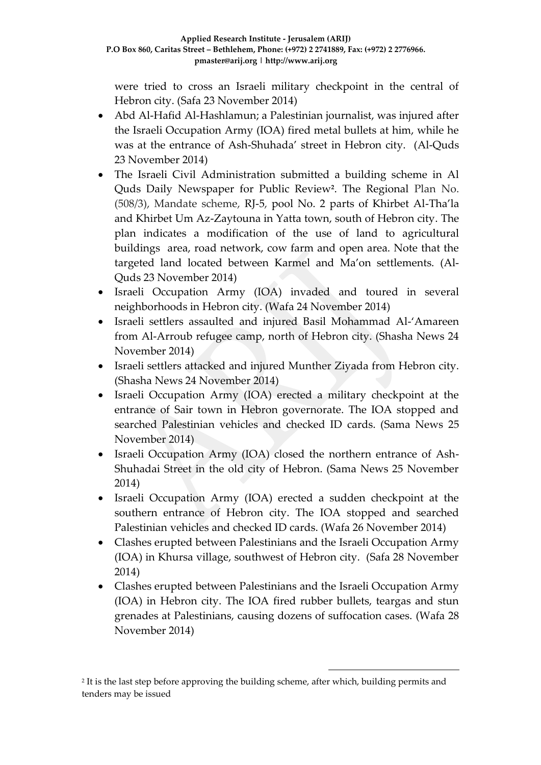were tried to cross an Israeli military checkpoint in the central of Hebron city. (Safa 23 November 2014)

- Abd Al-Hafid Al-Hashlamun; a Palestinian journalist, was injured after the Israeli Occupation Army (IOA) fired metal bullets at him, while he was at the entrance of Ash-Shuhada' street in Hebron city. (Al-Quds 23 November 2014)
- The Israeli Civil Administration submitted a building scheme in Al Quds Daily Newspaper for Public Review**<sup>2</sup>** . The Regional Plan No. (508/3), Mandate scheme, RJ-5, pool No. 2 parts of Khirbet Al-Tha'la and Khirbet Um Az-Zaytouna in Yatta town, south of Hebron city. The plan indicates a modification of the use of land to agricultural buildings area, road network, cow farm and open area. Note that the targeted land located between Karmel and Ma'on settlements. (Al-Quds 23 November 2014)
- Israeli Occupation Army (IOA) invaded and toured in several neighborhoods in Hebron city. (Wafa 24 November 2014)
- Israeli settlers assaulted and injured Basil Mohammad Al-'Amareen from Al-Arroub refugee camp, north of Hebron city. (Shasha News 24 November 2014)
- Israeli settlers attacked and injured Munther Ziyada from Hebron city. (Shasha News 24 November 2014)
- Israeli Occupation Army (IOA) erected a military checkpoint at the entrance of Sair town in Hebron governorate. The IOA stopped and searched Palestinian vehicles and checked ID cards. (Sama News 25 November 2014)
- Israeli Occupation Army (IOA) closed the northern entrance of Ash-Shuhadai Street in the old city of Hebron. (Sama News 25 November 2014)
- Israeli Occupation Army (IOA) erected a sudden checkpoint at the southern entrance of Hebron city. The IOA stopped and searched Palestinian vehicles and checked ID cards. (Wafa 26 November 2014)
- Clashes erupted between Palestinians and the Israeli Occupation Army (IOA) in Khursa village, southwest of Hebron city. (Safa 28 November 2014)
- Clashes erupted between Palestinians and the Israeli Occupation Army (IOA) in Hebron city. The IOA fired rubber bullets, teargas and stun grenades at Palestinians, causing dozens of suffocation cases. (Wafa 28 November 2014)

1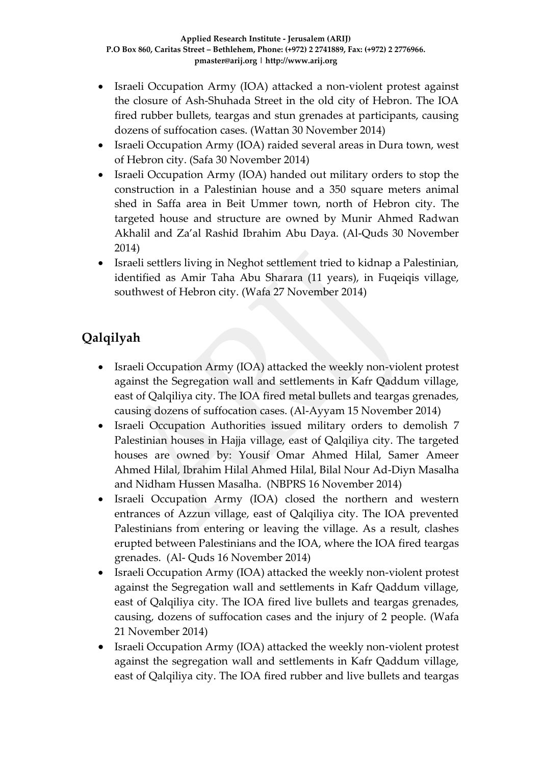- Israeli Occupation Army (IOA) attacked a non-violent protest against the closure of Ash-Shuhada Street in the old city of Hebron. The IOA fired rubber bullets, teargas and stun grenades at participants, causing dozens of suffocation cases. (Wattan 30 November 2014)
- Israeli Occupation Army (IOA) raided several areas in Dura town, west of Hebron city. (Safa 30 November 2014)
- Israeli Occupation Army (IOA) handed out military orders to stop the construction in a Palestinian house and a 350 square meters animal shed in Saffa area in Beit Ummer town, north of Hebron city. The targeted house and structure are owned by Munir Ahmed Radwan Akhalil and Za'al Rashid Ibrahim Abu Daya. (Al-Quds 30 November 2014)
- Israeli settlers living in Neghot settlement tried to kidnap a Palestinian, identified as Amir Taha Abu Sharara (11 years), in Fuqeiqis village, southwest of Hebron city. (Wafa 27 November 2014)

# **Qalqilyah**

- Israeli Occupation Army (IOA) attacked the weekly non-violent protest against the Segregation wall and settlements in Kafr Qaddum village, east of Qalqiliya city. The IOA fired metal bullets and teargas grenades, causing dozens of suffocation cases. (Al-Ayyam 15 November 2014)
- Israeli Occupation Authorities issued military orders to demolish 7 Palestinian houses in Hajja village, east of Qalqiliya city. The targeted houses are owned by: Yousif Omar Ahmed Hilal, Samer Ameer Ahmed Hilal, Ibrahim Hilal Ahmed Hilal, Bilal Nour Ad-Diyn Masalha and Nidham Hussen Masalha. (NBPRS 16 November 2014)
- Israeli Occupation Army (IOA) closed the northern and western entrances of Azzun village, east of Qalqiliya city. The IOA prevented Palestinians from entering or leaving the village. As a result, clashes erupted between Palestinians and the IOA, where the IOA fired teargas grenades. (Al- Quds 16 November 2014)
- Israeli Occupation Army (IOA) attacked the weekly non-violent protest against the Segregation wall and settlements in Kafr Qaddum village, east of Qalqiliya city. The IOA fired live bullets and teargas grenades, causing, dozens of suffocation cases and the injury of 2 people. (Wafa 21 November 2014)
- Israeli Occupation Army (IOA) attacked the weekly non-violent protest against the segregation wall and settlements in Kafr Qaddum village, east of Qalqiliya city. The IOA fired rubber and live bullets and teargas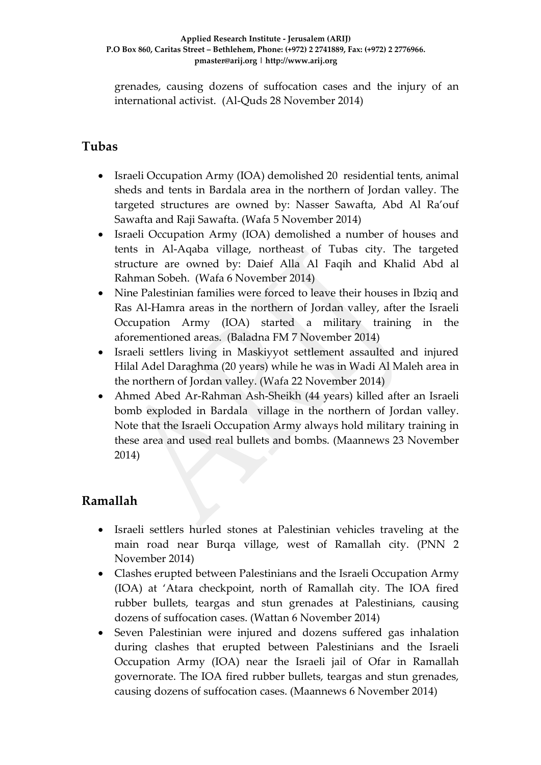grenades, causing dozens of suffocation cases and the injury of an international activist. (Al-Quds 28 November 2014)

## **Tubas**

- Israeli Occupation Army (IOA) demolished 20 residential tents, animal sheds and tents in Bardala area in the northern of Jordan valley. The targeted structures are owned by: Nasser Sawafta, Abd Al Ra'ouf Sawafta and Raji Sawafta. (Wafa 5 November 2014)
- Israeli Occupation Army (IOA) demolished a number of houses and tents in Al-Aqaba village, northeast of Tubas city. The targeted structure are owned by: Daief Alla Al Faqih and Khalid Abd al Rahman Sobeh. (Wafa 6 November 2014)
- Nine Palestinian families were forced to leave their houses in Ibziq and Ras Al-Hamra areas in the northern of Jordan valley, after the Israeli Occupation Army (IOA) started a military training in the aforementioned areas. (Baladna FM 7 November 2014)
- Israeli settlers living in Maskiyyot settlement assaulted and injured Hilal Adel Daraghma (20 years) while he was in Wadi Al Maleh area in the northern of Jordan valley. (Wafa 22 November 2014)
- Ahmed Abed Ar-Rahman Ash-Sheikh (44 years) killed after an Israeli bomb exploded in Bardala village in the northern of Jordan valley. Note that the Israeli Occupation Army always hold military training in these area and used real bullets and bombs. (Maannews 23 November 2014)

# **Ramallah**

- Israeli settlers hurled stones at Palestinian vehicles traveling at the main road near Burqa village, west of Ramallah city. (PNN 2 November 2014)
- Clashes erupted between Palestinians and the Israeli Occupation Army (IOA) at 'Atara checkpoint, north of Ramallah city. The IOA fired rubber bullets, teargas and stun grenades at Palestinians, causing dozens of suffocation cases. (Wattan 6 November 2014)
- Seven Palestinian were injured and dozens suffered gas inhalation during clashes that erupted between Palestinians and the Israeli Occupation Army (IOA) near the Israeli jail of Ofar in Ramallah governorate. The IOA fired rubber bullets, teargas and stun grenades, causing dozens of suffocation cases. (Maannews 6 November 2014)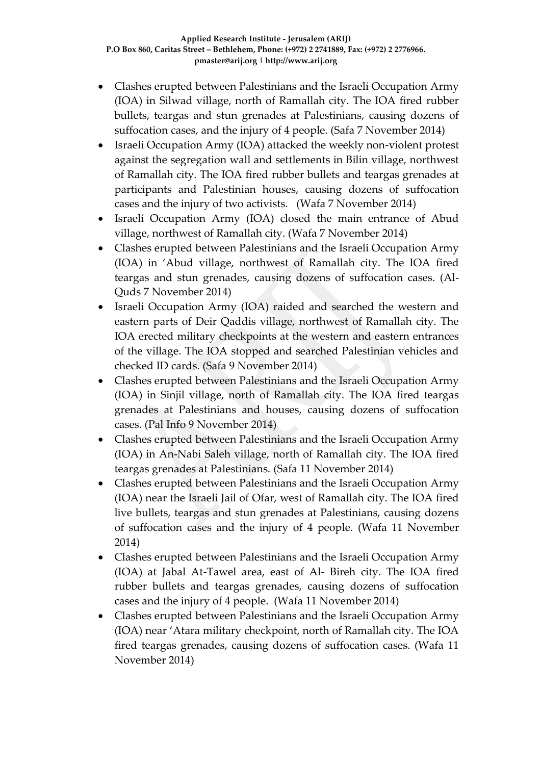- Clashes erupted between Palestinians and the Israeli Occupation Army (IOA) in Silwad village, north of Ramallah city. The IOA fired rubber bullets, teargas and stun grenades at Palestinians, causing dozens of suffocation cases, and the injury of 4 people. (Safa 7 November 2014)
- Israeli Occupation Army (IOA) attacked the weekly non-violent protest against the segregation wall and settlements in Bilin village, northwest of Ramallah city. The IOA fired rubber bullets and teargas grenades at participants and Palestinian houses, causing dozens of suffocation cases and the injury of two activists. (Wafa 7 November 2014)
- Israeli Occupation Army (IOA) closed the main entrance of Abud village, northwest of Ramallah city. (Wafa 7 November 2014)
- Clashes erupted between Palestinians and the Israeli Occupation Army (IOA) in 'Abud village, northwest of Ramallah city. The IOA fired teargas and stun grenades, causing dozens of suffocation cases. (Al-Quds 7 November 2014)
- Israeli Occupation Army (IOA) raided and searched the western and eastern parts of Deir Qaddis village, northwest of Ramallah city. The IOA erected military checkpoints at the western and eastern entrances of the village. The IOA stopped and searched Palestinian vehicles and checked ID cards. (Safa 9 November 2014)
- Clashes erupted between Palestinians and the Israeli Occupation Army (IOA) in Sinjil village, north of Ramallah city. The IOA fired teargas grenades at Palestinians and houses, causing dozens of suffocation cases. (Pal Info 9 November 2014)
- Clashes erupted between Palestinians and the Israeli Occupation Army (IOA) in An-Nabi Saleh village, north of Ramallah city. The IOA fired teargas grenades at Palestinians. (Safa 11 November 2014)
- Clashes erupted between Palestinians and the Israeli Occupation Army (IOA) near the Israeli Jail of Ofar, west of Ramallah city. The IOA fired live bullets, teargas and stun grenades at Palestinians, causing dozens of suffocation cases and the injury of 4 people. (Wafa 11 November 2014)
- Clashes erupted between Palestinians and the Israeli Occupation Army (IOA) at Jabal At-Tawel area, east of Al- Bireh city. The IOA fired rubber bullets and teargas grenades, causing dozens of suffocation cases and the injury of 4 people. (Wafa 11 November 2014)
- Clashes erupted between Palestinians and the Israeli Occupation Army (IOA) near 'Atara military checkpoint, north of Ramallah city. The IOA fired teargas grenades, causing dozens of suffocation cases. (Wafa 11 November 2014)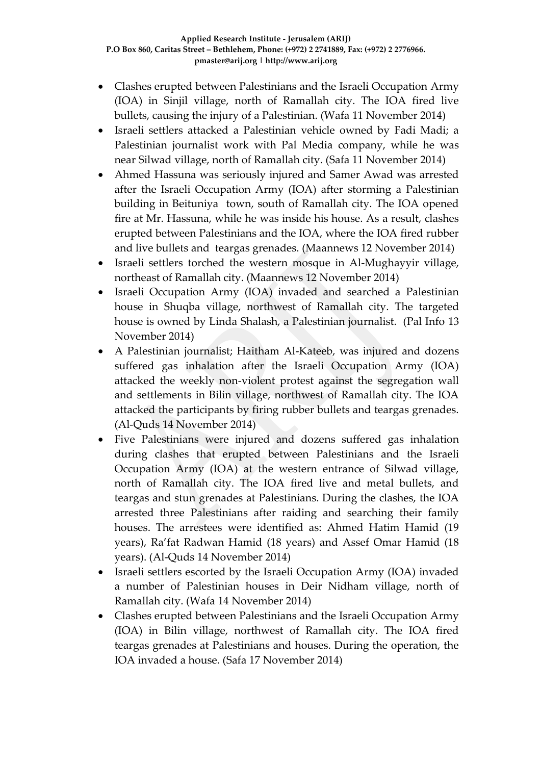- Clashes erupted between Palestinians and the Israeli Occupation Army (IOA) in Sinjil village, north of Ramallah city. The IOA fired live bullets, causing the injury of a Palestinian. (Wafa 11 November 2014)
- Israeli settlers attacked a Palestinian vehicle owned by Fadi Madi; a Palestinian journalist work with Pal Media company, while he was near Silwad village, north of Ramallah city. (Safa 11 November 2014)
- Ahmed Hassuna was seriously injured and Samer Awad was arrested after the Israeli Occupation Army (IOA) after storming a Palestinian building in Beituniya town, south of Ramallah city. The IOA opened fire at Mr. Hassuna, while he was inside his house. As a result, clashes erupted between Palestinians and the IOA, where the IOA fired rubber and live bullets and teargas grenades. (Maannews 12 November 2014)
- Israeli settlers torched the western mosque in Al-Mughayyir village, northeast of Ramallah city. (Maannews 12 November 2014)
- Israeli Occupation Army (IOA) invaded and searched a Palestinian house in Shuqba village, northwest of Ramallah city. The targeted house is owned by Linda Shalash, a Palestinian journalist. (Pal Info 13 November 2014)
- A Palestinian journalist; Haitham Al-Kateeb, was injured and dozens suffered gas inhalation after the Israeli Occupation Army (IOA) attacked the weekly non-violent protest against the segregation wall and settlements in Bilin village, northwest of Ramallah city. The IOA attacked the participants by firing rubber bullets and teargas grenades. (Al-Quds 14 November 2014)
- Five Palestinians were injured and dozens suffered gas inhalation during clashes that erupted between Palestinians and the Israeli Occupation Army (IOA) at the western entrance of Silwad village, north of Ramallah city. The IOA fired live and metal bullets, and teargas and stun grenades at Palestinians. During the clashes, the IOA arrested three Palestinians after raiding and searching their family houses. The arrestees were identified as: Ahmed Hatim Hamid (19 years), Ra'fat Radwan Hamid (18 years) and Assef Omar Hamid (18 years). (Al-Quds 14 November 2014)
- Israeli settlers escorted by the Israeli Occupation Army (IOA) invaded a number of Palestinian houses in Deir Nidham village, north of Ramallah city. (Wafa 14 November 2014)
- Clashes erupted between Palestinians and the Israeli Occupation Army (IOA) in Bilin village, northwest of Ramallah city. The IOA fired teargas grenades at Palestinians and houses. During the operation, the IOA invaded a house. (Safa 17 November 2014)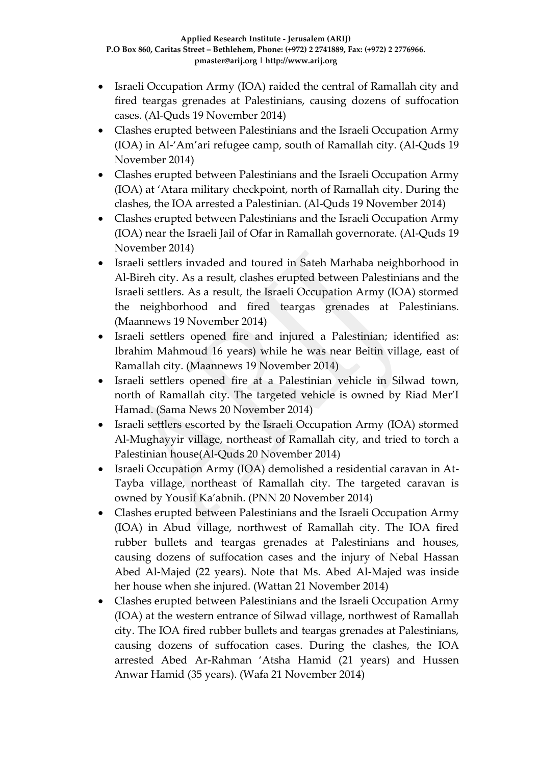- Israeli Occupation Army (IOA) raided the central of Ramallah city and fired teargas grenades at Palestinians, causing dozens of suffocation cases. (Al-Quds 19 November 2014)
- Clashes erupted between Palestinians and the Israeli Occupation Army (IOA) in Al-'Am'ari refugee camp, south of Ramallah city. (Al-Quds 19 November 2014)
- Clashes erupted between Palestinians and the Israeli Occupation Army (IOA) at 'Atara military checkpoint, north of Ramallah city. During the clashes, the IOA arrested a Palestinian. (Al-Quds 19 November 2014)
- Clashes erupted between Palestinians and the Israeli Occupation Army (IOA) near the Israeli Jail of Ofar in Ramallah governorate. (Al-Quds 19 November 2014)
- Israeli settlers invaded and toured in Sateh Marhaba neighborhood in Al-Bireh city. As a result, clashes erupted between Palestinians and the Israeli settlers. As a result, the Israeli Occupation Army (IOA) stormed the neighborhood and fired teargas grenades at Palestinians. (Maannews 19 November 2014)
- Israeli settlers opened fire and injured a Palestinian; identified as: Ibrahim Mahmoud 16 years) while he was near Beitin village, east of Ramallah city. (Maannews 19 November 2014)
- Israeli settlers opened fire at a Palestinian vehicle in Silwad town, north of Ramallah city. The targeted vehicle is owned by Riad Mer'I Hamad. (Sama News 20 November 2014)
- Israeli settlers escorted by the Israeli Occupation Army (IOA) stormed Al-Mughayyir village, northeast of Ramallah city, and tried to torch a Palestinian house(Al-Quds 20 November 2014)
- Israeli Occupation Army (IOA) demolished a residential caravan in At-Tayba village, northeast of Ramallah city. The targeted caravan is owned by Yousif Ka'abnih. (PNN 20 November 2014)
- Clashes erupted between Palestinians and the Israeli Occupation Army (IOA) in Abud village, northwest of Ramallah city. The IOA fired rubber bullets and teargas grenades at Palestinians and houses, causing dozens of suffocation cases and the injury of Nebal Hassan Abed Al-Majed (22 years). Note that Ms. Abed Al-Majed was inside her house when she injured. (Wattan 21 November 2014)
- Clashes erupted between Palestinians and the Israeli Occupation Army (IOA) at the western entrance of Silwad village, northwest of Ramallah city. The IOA fired rubber bullets and teargas grenades at Palestinians, causing dozens of suffocation cases. During the clashes, the IOA arrested Abed Ar-Rahman 'Atsha Hamid (21 years) and Hussen Anwar Hamid (35 years). (Wafa 21 November 2014)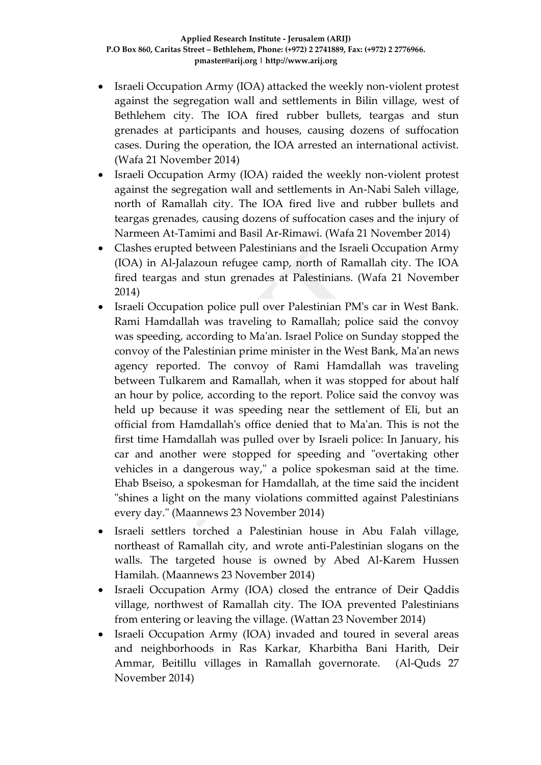- Israeli Occupation Army (IOA) attacked the weekly non-violent protest against the segregation wall and settlements in Bilin village, west of Bethlehem city. The IOA fired rubber bullets, teargas and stun grenades at participants and houses, causing dozens of suffocation cases. During the operation, the IOA arrested an international activist. (Wafa 21 November 2014)
- Israeli Occupation Army (IOA) raided the weekly non-violent protest against the segregation wall and settlements in An-Nabi Saleh village, north of Ramallah city. The IOA fired live and rubber bullets and teargas grenades, causing dozens of suffocation cases and the injury of Narmeen At-Tamimi and Basil Ar-Rimawi. (Wafa 21 November 2014)
- Clashes erupted between Palestinians and the Israeli Occupation Army (IOA) in Al-Jalazoun refugee camp, north of Ramallah city. The IOA fired teargas and stun grenades at Palestinians. (Wafa 21 November 2014)
- Israeli Occupation police pull over Palestinian PM's car in West Bank. Rami Hamdallah was traveling to Ramallah; police said the convoy was speeding, according to Ma'an. Israel Police on Sunday stopped the convoy of the Palestinian prime minister in the West Bank, Ma'an news agency reported. The convoy of Rami Hamdallah was traveling between Tulkarem and Ramallah, when it was stopped for about half an hour by police, according to the report. Police said the convoy was held up because it was speeding near the settlement of Eli, but an official from Hamdallah's office denied that to Ma'an. This is not the first time Hamdallah was pulled over by Israeli police: In January, his car and another were stopped for speeding and "overtaking other vehicles in a dangerous way," a police spokesman said at the time. Ehab Bseiso, a spokesman for Hamdallah, at the time said the incident "shines a light on the many violations committed against Palestinians every day." (Maannews 23 November 2014)
- Israeli settlers torched a Palestinian house in Abu Falah village, northeast of Ramallah city, and wrote anti-Palestinian slogans on the walls. The targeted house is owned by Abed Al-Karem Hussen Hamilah. (Maannews 23 November 2014)
- Israeli Occupation Army (IOA) closed the entrance of Deir Qaddis village, northwest of Ramallah city. The IOA prevented Palestinians from entering or leaving the village. (Wattan 23 November 2014)
- Israeli Occupation Army (IOA) invaded and toured in several areas and neighborhoods in Ras Karkar, Kharbitha Bani Harith, Deir Ammar, Beitillu villages in Ramallah governorate. (Al-Quds 27 November 2014)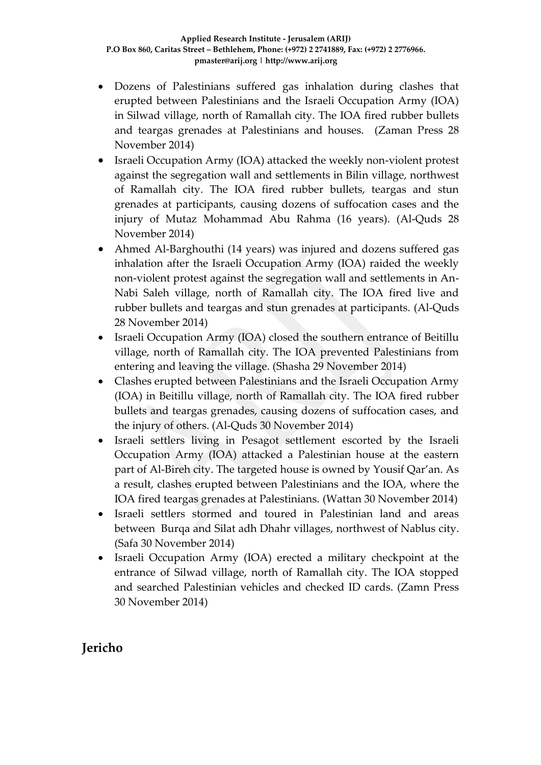- Dozens of Palestinians suffered gas inhalation during clashes that erupted between Palestinians and the Israeli Occupation Army (IOA) in Silwad village, north of Ramallah city. The IOA fired rubber bullets and teargas grenades at Palestinians and houses. (Zaman Press 28 November 2014)
- Israeli Occupation Army (IOA) attacked the weekly non-violent protest against the segregation wall and settlements in Bilin village, northwest of Ramallah city. The IOA fired rubber bullets, teargas and stun grenades at participants, causing dozens of suffocation cases and the injury of Mutaz Mohammad Abu Rahma (16 years). (Al-Quds 28 November 2014)
- Ahmed Al-Barghouthi (14 years) was injured and dozens suffered gas inhalation after the Israeli Occupation Army (IOA) raided the weekly non-violent protest against the segregation wall and settlements in An-Nabi Saleh village, north of Ramallah city. The IOA fired live and rubber bullets and teargas and stun grenades at participants. (Al-Quds 28 November 2014)
- Israeli Occupation Army (IOA) closed the southern entrance of Beitillu village, north of Ramallah city. The IOA prevented Palestinians from entering and leaving the village. (Shasha 29 November 2014)
- Clashes erupted between Palestinians and the Israeli Occupation Army (IOA) in Beitillu village, north of Ramallah city. The IOA fired rubber bullets and teargas grenades, causing dozens of suffocation cases, and the injury of others. (Al-Quds 30 November 2014)
- Israeli settlers living in Pesagot settlement escorted by the Israeli Occupation Army (IOA) attacked a Palestinian house at the eastern part of Al-Bireh city. The targeted house is owned by Yousif Qar'an. As a result, clashes erupted between Palestinians and the IOA, where the IOA fired teargas grenades at Palestinians. (Wattan 30 November 2014)
- Israeli settlers stormed and toured in Palestinian land and areas between Burqa and Silat adh Dhahr villages, northwest of Nablus city. (Safa 30 November 2014)
- Israeli Occupation Army (IOA) erected a military checkpoint at the entrance of Silwad village, north of Ramallah city. The IOA stopped and searched Palestinian vehicles and checked ID cards. (Zamn Press 30 November 2014)

# **Jericho**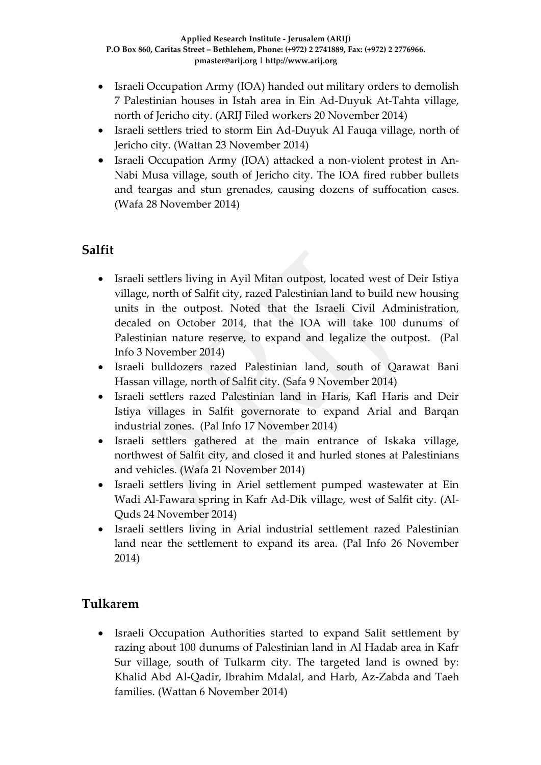- Israeli Occupation Army (IOA) handed out military orders to demolish 7 Palestinian houses in Istah area in Ein Ad-Duyuk At-Tahta village, north of Jericho city. (ARIJ Filed workers 20 November 2014)
- Israeli settlers tried to storm Ein Ad-Duyuk Al Fauqa village, north of Jericho city. (Wattan 23 November 2014)
- Israeli Occupation Army (IOA) attacked a non-violent protest in An-Nabi Musa village, south of Jericho city. The IOA fired rubber bullets and teargas and stun grenades, causing dozens of suffocation cases. (Wafa 28 November 2014)

# **Salfit**

- Israeli settlers living in Ayil Mitan outpost, located west of Deir Istiya village, north of Salfit city, razed Palestinian land to build new housing units in the outpost. Noted that the Israeli Civil Administration, decaled on October 2014, that the IOA will take 100 dunums of Palestinian nature reserve, to expand and legalize the outpost. (Pal Info 3 November 2014)
- Israeli bulldozers razed Palestinian land, south of Qarawat Bani Hassan village, north of Salfit city. (Safa 9 November 2014)
- Israeli settlers razed Palestinian land in Haris, Kafl Haris and Deir Istiya villages in Salfit governorate to expand Arial and Barqan industrial zones. (Pal Info 17 November 2014)
- Israeli settlers gathered at the main entrance of Iskaka village, northwest of Salfit city, and closed it and hurled stones at Palestinians and vehicles. (Wafa 21 November 2014)
- Israeli settlers living in Ariel settlement pumped wastewater at Ein Wadi Al-Fawara spring in Kafr Ad-Dik village, west of Salfit city. (Al-Quds 24 November 2014)
- Israeli settlers living in Arial industrial settlement razed Palestinian land near the settlement to expand its area. (Pal Info 26 November 2014)

# **Tulkarem**

 Israeli Occupation Authorities started to expand Salit settlement by razing about 100 dunums of Palestinian land in Al Hadab area in Kafr Sur village, south of Tulkarm city. The targeted land is owned by: Khalid Abd Al-Qadir, Ibrahim Mdalal, and Harb, Az-Zabda and Taeh families. (Wattan 6 November 2014)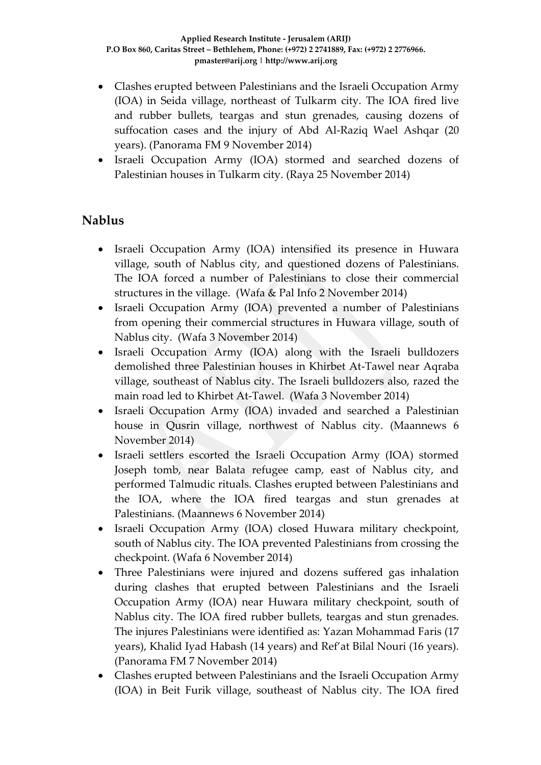- Clashes erupted between Palestinians and the Israeli Occupation Army (IOA) in Seida village, northeast of Tulkarm city. The IOA fired live and rubber bullets, teargas and stun grenades, causing dozens of suffocation cases and the injury of Abd Al-Raziq Wael Ashqar (20 years). (Panorama FM 9 November 2014)
- Israeli Occupation Army (IOA) stormed and searched dozens of Palestinian houses in Tulkarm city. (Raya 25 November 2014)

# **Nablus**

- Israeli Occupation Army (IOA) intensified its presence in Huwara village, south of Nablus city, and questioned dozens of Palestinians. The IOA forced a number of Palestinians to close their commercial structures in the village. (Wafa & Pal Info 2 November 2014)
- Israeli Occupation Army (IOA) prevented a number of Palestinians from opening their commercial structures in Huwara village, south of Nablus city. (Wafa 3 November 2014)
- Israeli Occupation Army (IOA) along with the Israeli bulldozers demolished three Palestinian houses in Khirbet At-Tawel near Aqraba village, southeast of Nablus city. The Israeli bulldozers also, razed the main road led to Khirbet At-Tawel. (Wafa 3 November 2014)
- Israeli Occupation Army (IOA) invaded and searched a Palestinian house in Qusrin village, northwest of Nablus city. (Maannews 6 November 2014)
- Israeli settlers escorted the Israeli Occupation Army (IOA) stormed Joseph tomb, near Balata refugee camp, east of Nablus city, and performed Talmudic rituals. Clashes erupted between Palestinians and the IOA, where the IOA fired teargas and stun grenades at Palestinians. (Maannews 6 November 2014)
- Israeli Occupation Army (IOA) closed Huwara military checkpoint, south of Nablus city. The IOA prevented Palestinians from crossing the checkpoint. (Wafa 6 November 2014)
- Three Palestinians were injured and dozens suffered gas inhalation during clashes that erupted between Palestinians and the Israeli Occupation Army (IOA) near Huwara military checkpoint, south of Nablus city. The IOA fired rubber bullets, teargas and stun grenades. The injures Palestinians were identified as: Yazan Mohammad Faris (17 years), Khalid Iyad Habash (14 years) and Ref'at Bilal Nouri (16 years). (Panorama FM 7 November 2014)
- Clashes erupted between Palestinians and the Israeli Occupation Army (IOA) in Beit Furik village, southeast of Nablus city. The IOA fired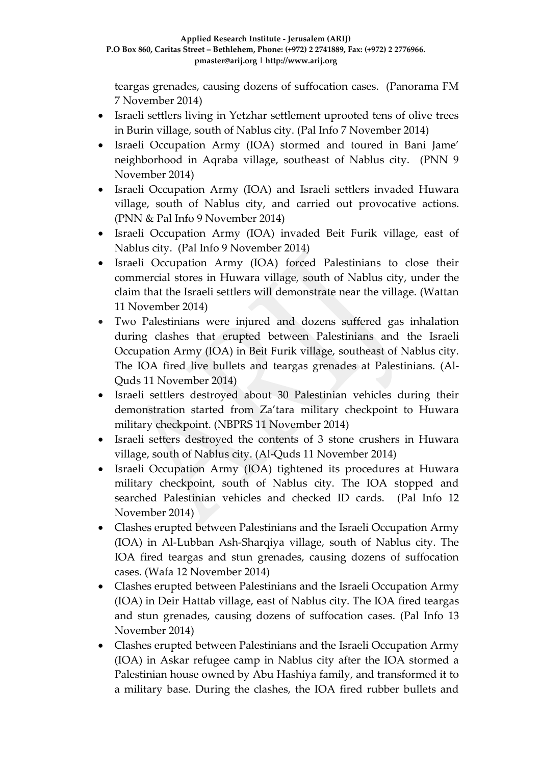teargas grenades, causing dozens of suffocation cases. (Panorama FM 7 November 2014)

- Israeli settlers living in Yetzhar settlement uprooted tens of olive trees in Burin village, south of Nablus city. (Pal Info 7 November 2014)
- Israeli Occupation Army (IOA) stormed and toured in Bani Jame' neighborhood in Aqraba village, southeast of Nablus city. (PNN 9 November 2014)
- Israeli Occupation Army (IOA) and Israeli settlers invaded Huwara village, south of Nablus city, and carried out provocative actions. (PNN & Pal Info 9 November 2014)
- Israeli Occupation Army (IOA) invaded Beit Furik village, east of Nablus city. (Pal Info 9 November 2014)
- Israeli Occupation Army (IOA) forced Palestinians to close their commercial stores in Huwara village, south of Nablus city, under the claim that the Israeli settlers will demonstrate near the village. (Wattan 11 November 2014)
- Two Palestinians were injured and dozens suffered gas inhalation during clashes that erupted between Palestinians and the Israeli Occupation Army (IOA) in Beit Furik village, southeast of Nablus city. The IOA fired live bullets and teargas grenades at Palestinians. (Al-Quds 11 November 2014)
- Israeli settlers destroyed about 30 Palestinian vehicles during their demonstration started from Za'tara military checkpoint to Huwara military checkpoint. (NBPRS 11 November 2014)
- Israeli setters destroyed the contents of 3 stone crushers in Huwara village, south of Nablus city. (Al-Quds 11 November 2014)
- Israeli Occupation Army (IOA) tightened its procedures at Huwara military checkpoint, south of Nablus city. The IOA stopped and searched Palestinian vehicles and checked ID cards. (Pal Info 12 November 2014)
- Clashes erupted between Palestinians and the Israeli Occupation Army (IOA) in Al-Lubban Ash-Sharqiya village, south of Nablus city. The IOA fired teargas and stun grenades, causing dozens of suffocation cases. (Wafa 12 November 2014)
- Clashes erupted between Palestinians and the Israeli Occupation Army (IOA) in Deir Hattab village, east of Nablus city. The IOA fired teargas and stun grenades, causing dozens of suffocation cases. (Pal Info 13 November 2014)
- Clashes erupted between Palestinians and the Israeli Occupation Army (IOA) in Askar refugee camp in Nablus city after the IOA stormed a Palestinian house owned by Abu Hashiya family, and transformed it to a military base. During the clashes, the IOA fired rubber bullets and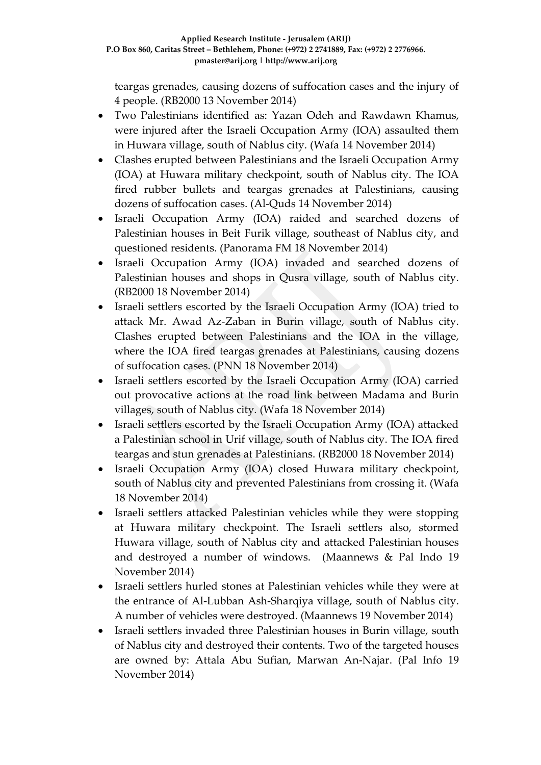teargas grenades, causing dozens of suffocation cases and the injury of 4 people. (RB2000 13 November 2014)

- Two Palestinians identified as: Yazan Odeh and Rawdawn Khamus, were injured after the Israeli Occupation Army (IOA) assaulted them in Huwara village, south of Nablus city. (Wafa 14 November 2014)
- Clashes erupted between Palestinians and the Israeli Occupation Army (IOA) at Huwara military checkpoint, south of Nablus city. The IOA fired rubber bullets and teargas grenades at Palestinians, causing dozens of suffocation cases. (Al-Quds 14 November 2014)
- Israeli Occupation Army (IOA) raided and searched dozens of Palestinian houses in Beit Furik village, southeast of Nablus city, and questioned residents. (Panorama FM 18 November 2014)
- Israeli Occupation Army (IOA) invaded and searched dozens of Palestinian houses and shops in Qusra village, south of Nablus city. (RB2000 18 November 2014)
- Israeli settlers escorted by the Israeli Occupation Army (IOA) tried to attack Mr. Awad Az-Zaban in Burin village, south of Nablus city. Clashes erupted between Palestinians and the IOA in the village, where the IOA fired teargas grenades at Palestinians, causing dozens of suffocation cases. (PNN 18 November 2014)
- Israeli settlers escorted by the Israeli Occupation Army (IOA) carried out provocative actions at the road link between Madama and Burin villages, south of Nablus city. (Wafa 18 November 2014)
- Israeli settlers escorted by the Israeli Occupation Army (IOA) attacked a Palestinian school in Urif village, south of Nablus city. The IOA fired teargas and stun grenades at Palestinians. (RB2000 18 November 2014)
- Israeli Occupation Army (IOA) closed Huwara military checkpoint, south of Nablus city and prevented Palestinians from crossing it. (Wafa 18 November 2014)
- Israeli settlers attacked Palestinian vehicles while they were stopping at Huwara military checkpoint. The Israeli settlers also, stormed Huwara village, south of Nablus city and attacked Palestinian houses and destroyed a number of windows. (Maannews & Pal Indo 19 November 2014)
- Israeli settlers hurled stones at Palestinian vehicles while they were at the entrance of Al-Lubban Ash-Sharqiya village, south of Nablus city. A number of vehicles were destroyed. (Maannews 19 November 2014)
- Israeli settlers invaded three Palestinian houses in Burin village, south of Nablus city and destroyed their contents. Two of the targeted houses are owned by: Attala Abu Sufian, Marwan An-Najar. (Pal Info 19 November 2014)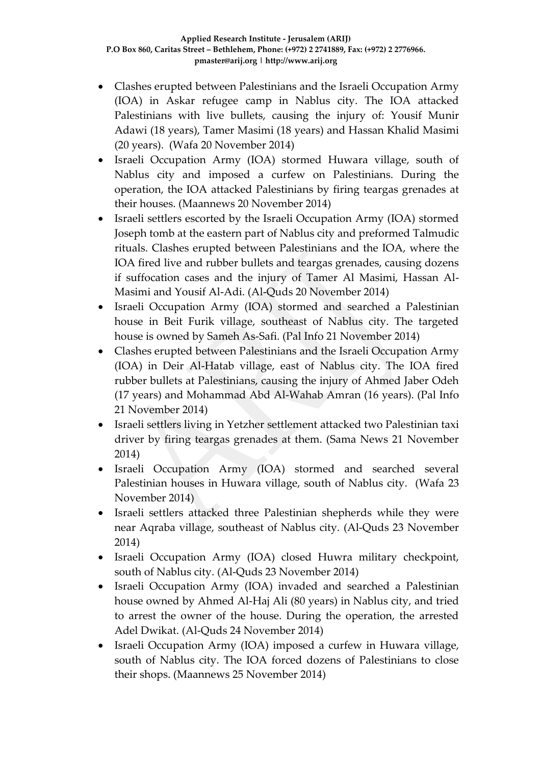- Clashes erupted between Palestinians and the Israeli Occupation Army (IOA) in Askar refugee camp in Nablus city. The IOA attacked Palestinians with live bullets, causing the injury of: Yousif Munir Adawi (18 years), Tamer Masimi (18 years) and Hassan Khalid Masimi (20 years). (Wafa 20 November 2014)
- Israeli Occupation Army (IOA) stormed Huwara village, south of Nablus city and imposed a curfew on Palestinians. During the operation, the IOA attacked Palestinians by firing teargas grenades at their houses. (Maannews 20 November 2014)
- Israeli settlers escorted by the Israeli Occupation Army (IOA) stormed Joseph tomb at the eastern part of Nablus city and preformed Talmudic rituals. Clashes erupted between Palestinians and the IOA, where the IOA fired live and rubber bullets and teargas grenades, causing dozens if suffocation cases and the injury of Tamer Al Masimi, Hassan Al-Masimi and Yousif Al-Adi. (Al-Quds 20 November 2014)
- Israeli Occupation Army (IOA) stormed and searched a Palestinian house in Beit Furik village, southeast of Nablus city. The targeted house is owned by Sameh As-Safi. (Pal Info 21 November 2014)
- Clashes erupted between Palestinians and the Israeli Occupation Army (IOA) in Deir Al-Hatab village, east of Nablus city. The IOA fired rubber bullets at Palestinians, causing the injury of Ahmed Jaber Odeh (17 years) and Mohammad Abd Al-Wahab Amran (16 years). (Pal Info 21 November 2014)
- Israeli settlers living in Yetzher settlement attacked two Palestinian taxi driver by firing teargas grenades at them. (Sama News 21 November 2014)
- Israeli Occupation Army (IOA) stormed and searched several Palestinian houses in Huwara village, south of Nablus city. (Wafa 23 November 2014)
- Israeli settlers attacked three Palestinian shepherds while they were near Aqraba village, southeast of Nablus city. (Al-Quds 23 November 2014)
- Israeli Occupation Army (IOA) closed Huwra military checkpoint, south of Nablus city. (Al-Quds 23 November 2014)
- Israeli Occupation Army (IOA) invaded and searched a Palestinian house owned by Ahmed Al-Haj Ali (80 years) in Nablus city, and tried to arrest the owner of the house. During the operation, the arrested Adel Dwikat. (Al-Quds 24 November 2014)
- Israeli Occupation Army (IOA) imposed a curfew in Huwara village, south of Nablus city. The IOA forced dozens of Palestinians to close their shops. (Maannews 25 November 2014)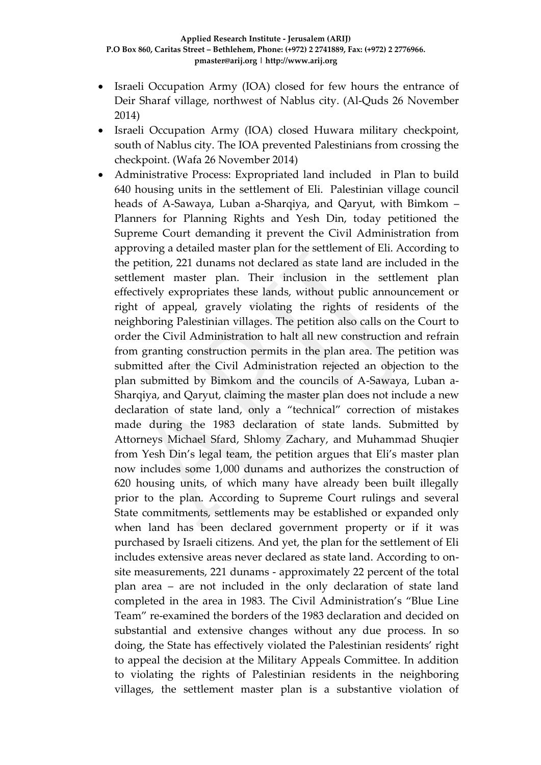- Israeli Occupation Army (IOA) closed for few hours the entrance of Deir Sharaf village, northwest of Nablus city. (Al-Quds 26 November 2014)
- Israeli Occupation Army (IOA) closed Huwara military checkpoint, south of Nablus city. The IOA prevented Palestinians from crossing the checkpoint. (Wafa 26 November 2014)
- Administrative Process: Expropriated land included in Plan to build 640 housing units in the settlement of Eli. Palestinian village council heads of A-Sawaya, Luban a-Sharqiya, and Qaryut, with Bimkom – Planners for Planning Rights and Yesh Din, today petitioned the Supreme Court demanding it prevent the Civil Administration from approving a detailed master plan for the settlement of Eli. According to the petition, 221 dunams not declared as state land are included in the settlement master plan. Their inclusion in the settlement plan effectively expropriates these lands, without public announcement or right of appeal, gravely violating the rights of residents of the neighboring Palestinian villages. The petition also calls on the Court to order the Civil Administration to halt all new construction and refrain from granting construction permits in the plan area. The petition was submitted after the Civil Administration rejected an objection to the plan submitted by Bimkom and the councils of A-Sawaya, Luban a-Sharqiya, and Qaryut, claiming the master plan does not include a new declaration of state land, only a "technical" correction of mistakes made during the 1983 declaration of state lands. Submitted by Attorneys Michael Sfard, Shlomy Zachary, and Muhammad Shuqier from Yesh Din's legal team, the petition argues that Eli's master plan now includes some 1,000 dunams and authorizes the construction of 620 housing units, of which many have already been built illegally prior to the plan. According to Supreme Court rulings and several State commitments, settlements may be established or expanded only when land has been declared government property or if it was purchased by Israeli citizens. And yet, the plan for the settlement of Eli includes extensive areas never declared as state land. According to onsite measurements, 221 dunams - approximately 22 percent of the total plan area – are not included in the only declaration of state land completed in the area in 1983. The Civil Administration's "Blue Line Team" re-examined the borders of the 1983 declaration and decided on substantial and extensive changes without any due process. In so doing, the State has effectively violated the Palestinian residents' right to appeal the decision at the Military Appeals Committee. In addition to violating the rights of Palestinian residents in the neighboring villages, the settlement master plan is a substantive violation of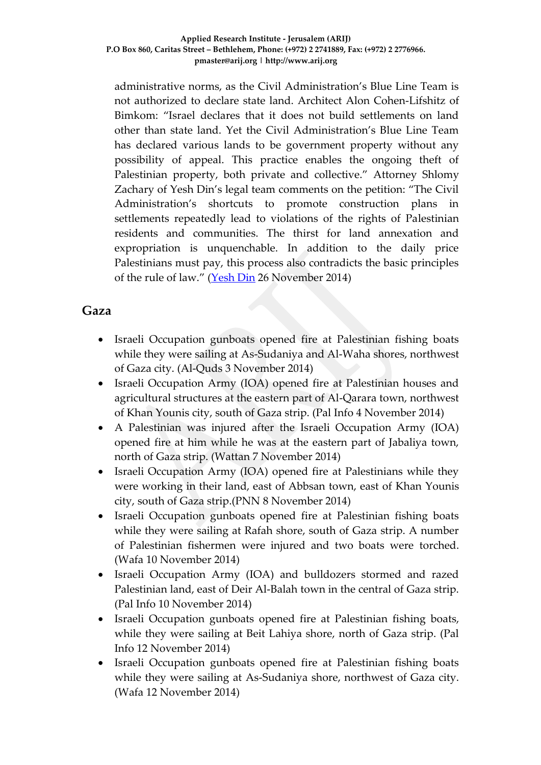administrative norms, as the Civil Administration's Blue Line Team is not authorized to declare state land. Architect Alon Cohen-Lifshitz of Bimkom: "Israel declares that it does not build settlements on land other than state land. Yet the Civil Administration's Blue Line Team has declared various lands to be government property without any possibility of appeal. This practice enables the ongoing theft of Palestinian property, both private and collective." Attorney Shlomy Zachary of Yesh Din's legal team comments on the petition: "The Civil Administration's shortcuts to promote construction plans in settlements repeatedly lead to violations of the rights of Palestinian residents and communities. The thirst for land annexation and expropriation is unquenchable. In addition to the daily price Palestinians must pay, this process also contradicts the basic principles of the rule of law." [\(Yesh Din](http://www.yesh-din.org/postview.asp?postid=287) 26 November 2014)

## **Gaza**

- Israeli Occupation gunboats opened fire at Palestinian fishing boats while they were sailing at As-Sudaniya and Al-Waha shores, northwest of Gaza city. (Al-Quds 3 November 2014)
- Israeli Occupation Army (IOA) opened fire at Palestinian houses and agricultural structures at the eastern part of Al-Qarara town, northwest of Khan Younis city, south of Gaza strip. (Pal Info 4 November 2014)
- A Palestinian was injured after the Israeli Occupation Army (IOA) opened fire at him while he was at the eastern part of Jabaliya town, north of Gaza strip. (Wattan 7 November 2014)
- Israeli Occupation Army (IOA) opened fire at Palestinians while they were working in their land, east of Abbsan town, east of Khan Younis city, south of Gaza strip.(PNN 8 November 2014)
- Israeli Occupation gunboats opened fire at Palestinian fishing boats while they were sailing at Rafah shore, south of Gaza strip. A number of Palestinian fishermen were injured and two boats were torched. (Wafa 10 November 2014)
- Israeli Occupation Army (IOA) and bulldozers stormed and razed Palestinian land, east of Deir Al-Balah town in the central of Gaza strip. (Pal Info 10 November 2014)
- Israeli Occupation gunboats opened fire at Palestinian fishing boats, while they were sailing at Beit Lahiya shore, north of Gaza strip. (Pal Info 12 November 2014)
- Israeli Occupation gunboats opened fire at Palestinian fishing boats while they were sailing at As-Sudaniya shore, northwest of Gaza city. (Wafa 12 November 2014)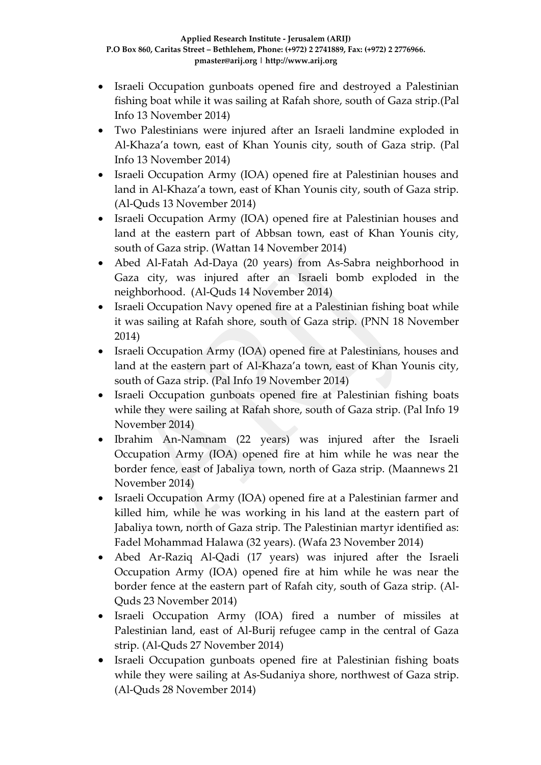- Israeli Occupation gunboats opened fire and destroyed a Palestinian fishing boat while it was sailing at Rafah shore, south of Gaza strip.(Pal Info 13 November 2014)
- Two Palestinians were injured after an Israeli landmine exploded in Al-Khaza'a town, east of Khan Younis city, south of Gaza strip. (Pal Info 13 November 2014)
- Israeli Occupation Army (IOA) opened fire at Palestinian houses and land in Al-Khaza'a town, east of Khan Younis city, south of Gaza strip. (Al-Quds 13 November 2014)
- Israeli Occupation Army (IOA) opened fire at Palestinian houses and land at the eastern part of Abbsan town, east of Khan Younis city, south of Gaza strip. (Wattan 14 November 2014)
- Abed Al-Fatah Ad-Daya (20 years) from As-Sabra neighborhood in Gaza city, was injured after an Israeli bomb exploded in the neighborhood. (Al-Quds 14 November 2014)
- Israeli Occupation Navy opened fire at a Palestinian fishing boat while it was sailing at Rafah shore, south of Gaza strip. (PNN 18 November 2014)
- Israeli Occupation Army (IOA) opened fire at Palestinians, houses and land at the eastern part of Al-Khaza'a town, east of Khan Younis city, south of Gaza strip. (Pal Info 19 November 2014)
- Israeli Occupation gunboats opened fire at Palestinian fishing boats while they were sailing at Rafah shore, south of Gaza strip. (Pal Info 19 November 2014)
- Ibrahim An-Namnam (22 years) was injured after the Israeli Occupation Army (IOA) opened fire at him while he was near the border fence, east of Jabaliya town, north of Gaza strip. (Maannews 21 November 2014)
- Israeli Occupation Army (IOA) opened fire at a Palestinian farmer and killed him, while he was working in his land at the eastern part of Jabaliya town, north of Gaza strip. The Palestinian martyr identified as: Fadel Mohammad Halawa (32 years). (Wafa 23 November 2014)
- Abed Ar-Raziq Al-Qadi (17 years) was injured after the Israeli Occupation Army (IOA) opened fire at him while he was near the border fence at the eastern part of Rafah city, south of Gaza strip. (Al-Quds 23 November 2014)
- Israeli Occupation Army (IOA) fired a number of missiles at Palestinian land, east of Al-Burij refugee camp in the central of Gaza strip. (Al-Quds 27 November 2014)
- Israeli Occupation gunboats opened fire at Palestinian fishing boats while they were sailing at As-Sudaniya shore, northwest of Gaza strip. (Al-Quds 28 November 2014)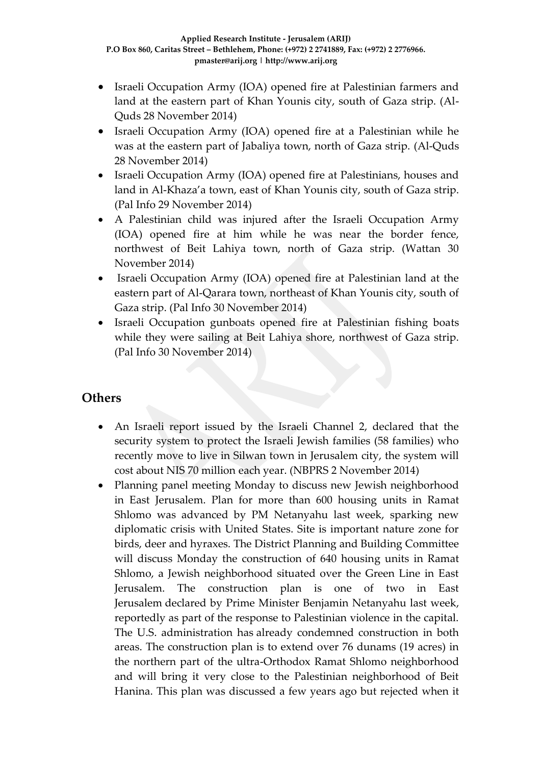- Israeli Occupation Army (IOA) opened fire at Palestinian farmers and land at the eastern part of Khan Younis city, south of Gaza strip. (Al-Quds 28 November 2014)
- Israeli Occupation Army (IOA) opened fire at a Palestinian while he was at the eastern part of Jabaliya town, north of Gaza strip. (Al-Quds 28 November 2014)
- Israeli Occupation Army (IOA) opened fire at Palestinians, houses and land in Al-Khaza'a town, east of Khan Younis city, south of Gaza strip. (Pal Info 29 November 2014)
- A Palestinian child was injured after the Israeli Occupation Army (IOA) opened fire at him while he was near the border fence, northwest of Beit Lahiya town, north of Gaza strip. (Wattan 30 November 2014)
- Israeli Occupation Army (IOA) opened fire at Palestinian land at the eastern part of Al-Qarara town, northeast of Khan Younis city, south of Gaza strip. (Pal Info 30 November 2014)
- Israeli Occupation gunboats opened fire at Palestinian fishing boats while they were sailing at Beit Lahiya shore, northwest of Gaza strip. (Pal Info 30 November 2014)

### **Others**

- An Israeli report issued by the Israeli Channel 2, declared that the security system to protect the Israeli Jewish families (58 families) who recently move to live in Silwan town in Jerusalem city, the system will cost about NIS 70 million each year. (NBPRS 2 November 2014)
- Planning panel meeting Monday to discuss new Jewish neighborhood in East Jerusalem. Plan for more than 600 housing units in Ramat Shlomo was advanced by PM Netanyahu last week, sparking new diplomatic crisis with United States. Site is important nature zone for birds, deer and hyraxes. The District Planning and Building Committee will discuss Monday the construction of 640 housing units in Ramat Shlomo, a Jewish neighborhood situated over the Green Line in East Jerusalem. The construction plan is one of two in East Jerusalem [declared by Prime Minister Benjamin Netanyahu last week,](http://www.haaretz.com/news/diplomacy-defense/.premium-1.622950) reportedly as part of the response to Palestinian violence in the capital. The U.S. administration has [already condemned construction in both](http://www.haaretz.com/news/diplomacy-defense/.premium-1.623241)  [areas.](http://www.haaretz.com/news/diplomacy-defense/.premium-1.623241) The construction plan is to extend over 76 dunams (19 acres) in the northern part of the ultra-Orthodox Ramat Shlomo neighborhood and will bring it very close to the Palestinian neighborhood of Beit Hanina. This plan was discussed a few years ago but rejected when it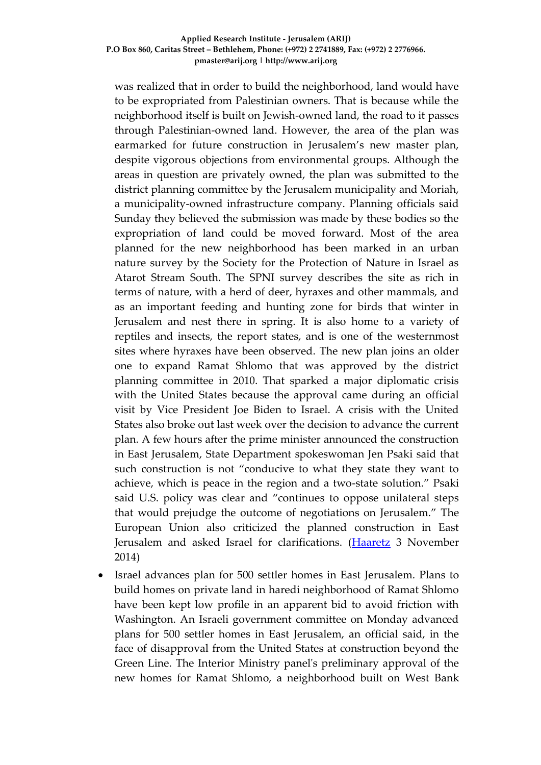#### **Applied Research Institute - Jerusalem (ARIJ) P.O Box 860, Caritas Street – Bethlehem, Phone: (+972) 2 2741889, Fax: (+972) 2 2776966. pmaster@arij.org | http://www.arij.org**

was realized that in order to build the neighborhood, land would have to be expropriated from Palestinian owners. That is because while the neighborhood itself is built on Jewish-owned land, the road to it passes through Palestinian-owned land. However, the area of the plan was earmarked for future construction in Jerusalem's new master plan, despite vigorous objections from environmental groups. Although the areas in question are privately owned, the plan was submitted to the district planning committee by the Jerusalem municipality and Moriah, a municipality-owned infrastructure company. Planning officials said Sunday they believed the submission was made by these bodies so the expropriation of land could be moved forward. Most of the area planned for the new neighborhood has been marked in an urban nature survey by the Society for the Protection of Nature in Israel as Atarot Stream South. The SPNI survey describes the site as rich in terms of nature, with a herd of deer, hyraxes and other mammals, and as an important feeding and hunting zone for birds that winter in Jerusalem and nest there in spring. It is also home to a variety of reptiles and insects, the report states, and is one of the westernmost sites where hyraxes have been observed. The new plan joins an older one to expand Ramat Shlomo that was approved by the district planning committee in 2010. That sparked a major diplomatic crisis with the United States because the approval came during an official visit by Vice President Joe Biden to Israel. A crisis with the United States also broke out last week over the decision to advance the current plan. A few hours after the prime minister announced the construction in East Jerusalem, State Department spokeswoman Jen Psaki said that such construction is not "conducive to what they state they want to achieve, which is peace in the region and a two-state solution." Psaki said U.S. policy was clear and "continues to oppose unilateral steps that would prejudge the outcome of negotiations on Jerusalem." The European Union also criticized the planned construction in East Jerusalem and asked Israel for clarifications. [\(Haaretz](http://www.haaretz.com/news/diplomacy-defense/.premium-1.624219) 3 November 2014)

 Israel advances plan for 500 settler homes in East Jerusalem. Plans to build homes on private land in haredi neighborhood of Ramat Shlomo have been kept low profile in an apparent bid to avoid friction with Washington. An Israeli government committee on Monday advanced plans for 500 settler homes in East Jerusalem, an official said, in the face of disapproval from the United States at construction beyond the Green Line. The Interior Ministry panel's preliminary approval of the new homes for Ramat Shlomo, a neighborhood built on West Bank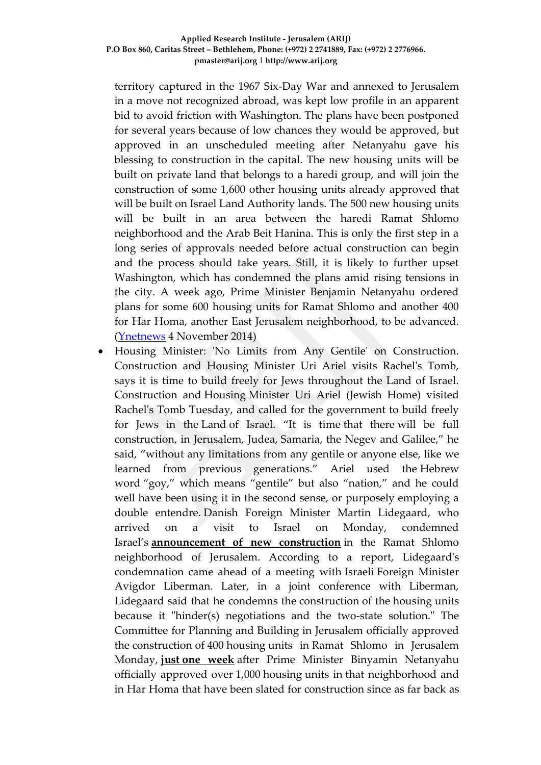territory captured in the 1967 Six-Day War and annexed to Jerusalem in a move not recognized abroad, was kept low profile in an apparent bid to avoid friction with Washington. The plans have been postponed for several years because of low chances they would be approved, but approved in an unscheduled meeting after Netanyahu gave his blessing to construction in the capital. The new housing units will be built on private land that belongs to a haredi group, and will join the construction of some 1,600 other housing units already approved that will be built on Israel Land Authority lands. The 500 new housing units will be built in an area between the haredi Ramat Shlomo neighborhood and the Arab Beit Hanina. This is only the first step in a long series of approvals needed before actual construction can begin and the process should take years. Still, it is likely to further upset Washington, which has condemned the plans amid rising tensions in the city. A week ago, Prime Minister Benjamin Netanyahu ordered plans for some 600 housing units for Ramat Shlomo and another 400 for Har Homa, another East Jerusalem neighborhood, to be advanced. [\(Ynetnews](http://www.ynetnews.com/articles/0,7340,L-4587602,00.html) 4 November 2014)

 Housing Minister: 'No Limits from Any Gentile' on Construction. Construction and Housing Minister Uri Ariel visits Rachel's Tomb, says it is time to build freely for Jews throughout the Land of Israel. Construction and Housing Minister Uri Ariel (Jewish Home) visited Rachel's Tomb Tuesday, and called for the government to build freely for Jews in the Land of Israel. "It is time that there will be full construction, in Jerusalem, Judea, Samaria, the Negev and Galilee," he said, "without any limitations from any gentile or anyone else, like we learned from previous generations." Ariel used the Hebrew word "goy," which means "gentile" but also "nation," and he could well have been using it in the second sense, or purposely employing a double entendre. Danish Foreign Minister Martin Lidegaard, who arrived on a visit to Israel on Monday, condemned Israel's **[announcement of new construction](http://www.israelnationalnews.com/News/News.aspx/186976)** in the Ramat Shlomo neighborhood of Jerusalem. According to a report, Lidegaard's condemnation came ahead of a meeting with Israeli Foreign Minister Avigdor Liberman. Later, in a joint conference with Liberman, Lidegaard said that he condemns the construction of the housing units because it "hinder(s) negotiations and the two-state solution." The Committee for Planning and Building in Jerusalem officially approved the construction of 400 housing units in Ramat Shlomo in Jerusalem Monday, **just [one week](http://www.israelnationalnews.com/News/News.aspx/186640)** after Prime Minister Binyamin Netanyahu officially approved over 1,000 housing units in that neighborhood and in Har Homa that have been slated for construction since as far back as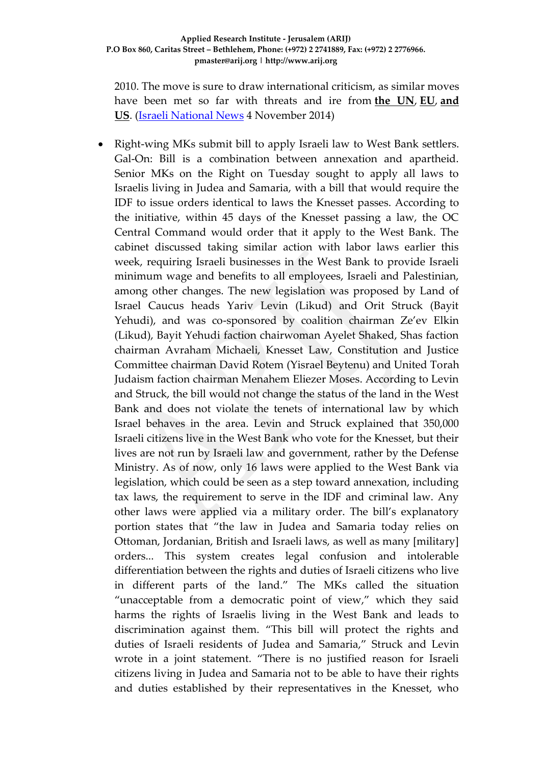2010. The move is sure to draw international criticism, as similar moves have been met so far with threats and ire from **[the UN](http://www.israelnationalnews.com/News/News.aspx/186710)**, **[EU](http://www.israelnationalnews.com/News/News.aspx/186710)**, **[and](http://www.israelnationalnews.com/News/News.aspx/186676)  [US](http://www.israelnationalnews.com/News/News.aspx/186676)**. [\(Israeli National News](http://www.israelnationalnews.com/News/News.aspx/187012#.VFi8uPmUepc) 4 November 2014)

 Right-wing MKs submit bill to apply Israeli law to West Bank settlers. Gal-On: Bill is a combination between annexation and apartheid. Senior MKs on the Right on Tuesday sought to apply all laws to Israelis living in Judea and Samaria, with a bill that would require the IDF to issue orders identical to laws the Knesset passes. According to the initiative, within 45 days of the Knesset passing a law, the OC Central Command would order that it apply to the West Bank. The cabinet discussed taking similar action with labor laws earlier this week, requiring Israeli businesses in the West Bank to provide Israeli minimum wage and benefits to all employees, Israeli and Palestinian, among other changes. The new legislation was proposed by Land of Israel Caucus heads Yariv Levin (Likud) and Orit Struck (Bayit Yehudi), and was co-sponsored by coalition chairman Ze'ev Elkin (Likud), Bayit Yehudi faction chairwoman Ayelet Shaked, Shas faction chairman Avraham Michaeli, Knesset Law, Constitution and Justice Committee chairman David Rotem (Yisrael Beytenu) and United Torah Judaism faction chairman Menahem Eliezer Moses. According to Levin and Struck, the bill would not change the status of the land in the West Bank and does not violate the tenets of international law by which Israel behaves in the area. Levin and Struck explained that 350,000 Israeli citizens live in the West Bank who vote for the Knesset, but their lives are not run by Israeli law and government, rather by the Defense Ministry. As of now, only 16 laws were applied to the West Bank via legislation, which could be seen as a step toward annexation, including tax laws, the requirement to serve in the IDF and criminal law. Any other laws were applied via a military order. The bill's explanatory portion states that "the law in Judea and Samaria today relies on Ottoman, Jordanian, British and Israeli laws, as well as many [military] orders... This system creates legal confusion and intolerable differentiation between the rights and duties of Israeli citizens who live in different parts of the land." The MKs called the situation "unacceptable from a democratic point of view," which they said harms the rights of Israelis living in the West Bank and leads to discrimination against them. "This bill will protect the rights and duties of Israeli residents of Judea and Samaria," Struck and Levin wrote in a joint statement. "There is no justified reason for Israeli citizens living in Judea and Samaria not to be able to have their rights and duties established by their representatives in the Knesset, who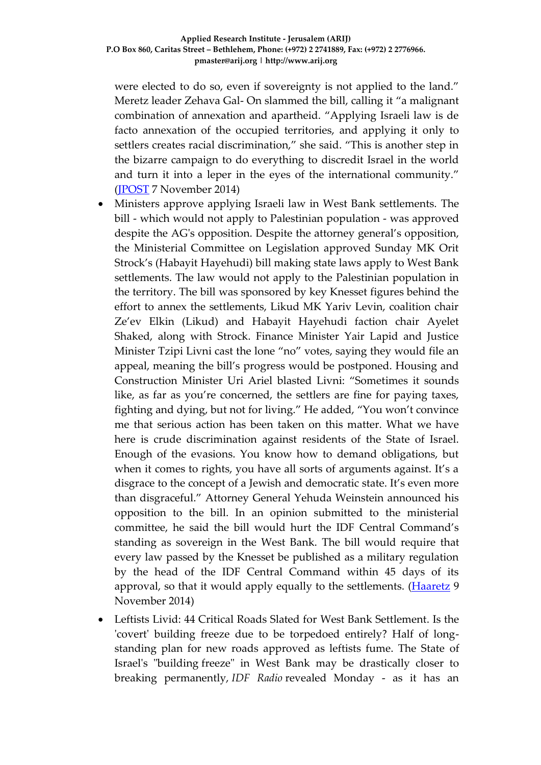were elected to do so, even if sovereignty is not applied to the land." Meretz leader Zehava Gal- On slammed the bill, calling it "a malignant combination of annexation and apartheid. "Applying Israeli law is de facto annexation of the occupied territories, and applying it only to settlers creates racial discrimination," she said. "This is another step in the bizarre campaign to do everything to discredit Israel in the world and turn it into a leper in the eyes of the international community." [\(JPOST](http://www.jpost.com/Israel-News/Politics-And-Diplomacy/Right-wing-MKs-submit-bill-to-apply-Israeli-law-to-West-Bank-settlers-380761) 7 November 2014)

- Ministers approve applying Israeli law in West Bank settlements. The bill - which would not apply to Palestinian population - was approved despite the AG's opposition. Despite the attorney general's opposition, the Ministerial Committee on Legislation approved Sunday MK Orit Strock's (Habayit Hayehudi) bill making state laws apply to West Bank settlements. The law would not apply to the Palestinian population in the territory. The bill was sponsored by key Knesset figures behind the effort to annex the settlements, Likud MK Yariv Levin, coalition chair Ze'ev Elkin (Likud) and Habayit Hayehudi faction chair Ayelet Shaked, along with Strock. Finance Minister Yair Lapid and Justice Minister Tzipi Livni cast the lone "no" votes, saying they would file an appeal, meaning the bill's progress would be postponed. Housing and Construction Minister Uri Ariel blasted Livni: "Sometimes it sounds like, as far as you're concerned, the settlers are fine for paying taxes, fighting and dying, but not for living." He added, "You won't convince me that serious action has been taken on this matter. What we have here is crude discrimination against residents of the State of Israel. Enough of the evasions. You know how to demand obligations, but when it comes to rights, you have all sorts of arguments against. It's a disgrace to the concept of a Jewish and democratic state. It's even more than disgraceful." Attorney General Yehuda Weinstein announced his opposition to the bill. In an opinion submitted to the ministerial committee, he said the bill would hurt the IDF Central Command's standing as sovereign in the West Bank. The bill would require that every law passed by the Knesset be published as a military regulation by the head of the IDF Central Command within 45 days of its approval, so that it would apply equally to the settlements. [\(Haaretz](http://www.haaretz.com/news/diplomacy-defense/.premium-1.625513) 9 November 2014)
- Leftists Livid: 44 Critical Roads Slated for West Bank Settlement. Is the 'covert' building freeze due to be torpedoed entirely? Half of longstanding plan for new roads approved as leftists fume. The State of Israel's "building freeze" in West Bank may be drastically closer to breaking permanently, *IDF Radio* revealed Monday - as it has an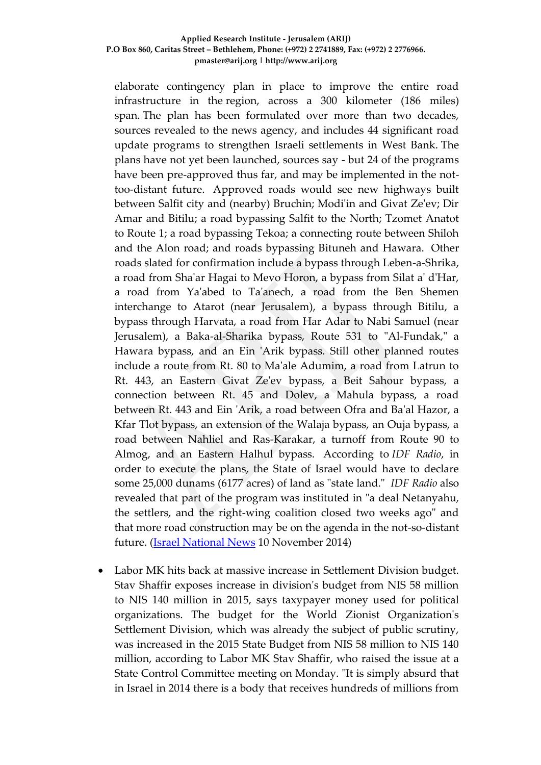#### **Applied Research Institute - Jerusalem (ARIJ) P.O Box 860, Caritas Street – Bethlehem, Phone: (+972) 2 2741889, Fax: (+972) 2 2776966. pmaster@arij.org | http://www.arij.org**

elaborate contingency plan in place to improve the entire road infrastructure in the region, across a 300 kilometer (186 miles) span. The plan has been formulated over more than two decades, sources revealed to the news agency, and includes 44 significant road update programs to strengthen Israeli settlements in West Bank. The plans have not yet been launched, sources say - but 24 of the programs have been pre-approved thus far, and may be implemented in the nottoo-distant future. Approved roads would see new highways built between Salfit city and (nearby) Bruchin; Modi'in and Givat Ze'ev; Dir Amar and Bitilu; a road bypassing Salfit to the North; Tzomet Anatot to Route 1; a road bypassing Tekoa; a connecting route between Shiloh and the Alon road; and roads bypassing Bituneh and Hawara. Other roads slated for confirmation include a bypass through Leben-a-Shrika, a road from Sha'ar Hagai to Mevo Horon, a bypass from Silat a' d'Har, a road from Ya'abed to Ta'anech, a road from the Ben Shemen interchange to Atarot (near Jerusalem), a bypass through Bitilu, a bypass through Harvata, a road from Har Adar to Nabi Samuel (near Jerusalem), a Baka-al-Sharika bypass, Route 531 to "Al-Fundak," a Hawara bypass, and an Ein 'Arik bypass. Still other planned routes include a route from Rt. 80 to Ma'ale Adumim, a road from Latrun to Rt. 443, an Eastern Givat Ze'ev bypass, a Beit Sahour bypass, a connection between Rt. 45 and Dolev, a Mahula bypass, a road between Rt. 443 and Ein 'Arik, a road between Ofra and Ba'al Hazor, a Kfar Tlot bypass, an extension of the Walaja bypass, an Ouja bypass, a road between Nahliel and Ras-Karakar, a turnoff from Route 90 to Almog, and an Eastern Halhul bypass. According to *IDF Radio*, in order to execute the plans, the State of Israel would have to declare some 25,000 dunams (6177 acres) of land as "state land." *IDF Radio* also revealed that part of the program was instituted in "a deal Netanyahu, the settlers, and the right-wing coalition closed two weeks ago" and that more road construction may be on the agenda in the not-so-distant future. [\(Israel National News](http://www.israelnationalnews.com/News/News.aspx/187273#.VGCkHvmUepc) 10 November 2014)

 Labor MK hits back at massive increase in Settlement Division budget. Stav Shaffir exposes increase in division's budget from NIS 58 million to NIS 140 million in 2015, says taxypayer money used for political organizations. The budget for the World Zionist Organization's Settlement Division, which was already the subject of public scrutiny, was increased in the 2015 State Budget from NIS 58 million to NIS 140 million, according to Labor MK Stav Shaffir, who raised the issue at a State Control Committee meeting on Monday. "It is simply absurd that in Israel in 2014 there is a body that receives hundreds of millions from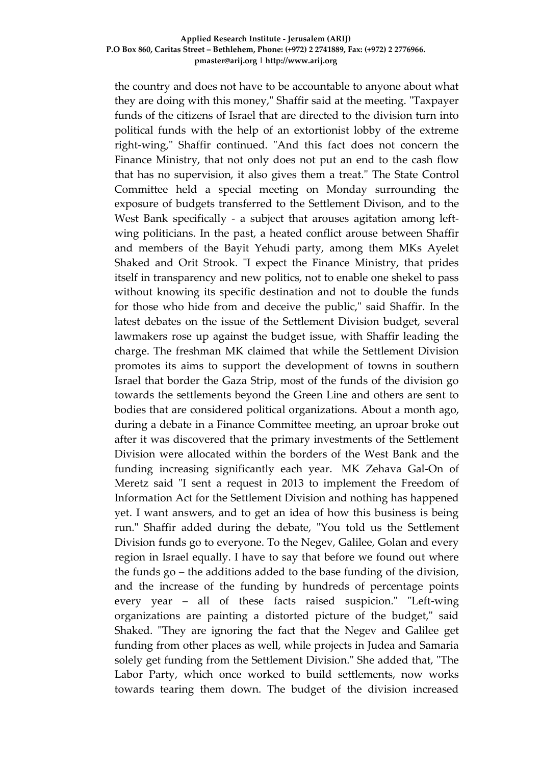#### **Applied Research Institute - Jerusalem (ARIJ) P.O Box 860, Caritas Street – Bethlehem, Phone: (+972) 2 2741889, Fax: (+972) 2 2776966. pmaster@arij.org | http://www.arij.org**

the country and does not have to be accountable to anyone about what they are doing with this money," Shaffir said at the meeting. "Taxpayer funds of the citizens of Israel that are directed to the division turn into political funds with the help of an extortionist lobby of the extreme right-wing," Shaffir continued. "And this fact does not concern the Finance Ministry, that not only does not put an end to the cash flow that has no supervision, it also gives them a treat." The State Control Committee held a special meeting on Monday surrounding the exposure of budgets transferred to the Settlement Divison, and to the West Bank specifically - a subject that arouses agitation among leftwing politicians. In the past, a heated conflict arouse between Shaffir and members of the Bayit Yehudi party, among them MKs Ayelet Shaked and Orit Strook. "I expect the Finance Ministry, that prides itself in transparency and new politics, not to enable one shekel to pass without knowing its specific destination and not to double the funds for those who hide from and deceive the public," said Shaffir. In the latest debates on the issue of the Settlement Division budget, several lawmakers rose up against the budget issue, with Shaffir leading the charge. The freshman MK claimed that while the Settlement Division promotes its aims to support the development of towns in southern Israel that border the Gaza Strip, most of the funds of the division go towards the settlements beyond the Green Line and others are sent to bodies that are considered political organizations. About a month ago, during a debate in a Finance Committee meeting, an uproar broke out after it was discovered that the primary investments of the Settlement Division were allocated within the borders of the West Bank and the funding increasing significantly each year. MK Zehava Gal-On of Meretz said "I sent a request in 2013 to implement the Freedom of Information Act for the Settlement Division and nothing has happened yet. I want answers, and to get an idea of how this business is being run." Shaffir added during the debate, "You told us the Settlement Division funds go to everyone. To the Negev, Galilee, Golan and every region in Israel equally. I have to say that before we found out where the funds go – the additions added to the base funding of the division, and the increase of the funding by hundreds of percentage points every year – all of these facts raised suspicion." "Left-wing organizations are painting a distorted picture of the budget," said Shaked. "They are ignoring the fact that the Negev and Galilee get funding from other places as well, while projects in Judea and Samaria solely get funding from the Settlement Division." She added that, "The Labor Party, which once worked to build settlements, now works towards tearing them down. The budget of the division increased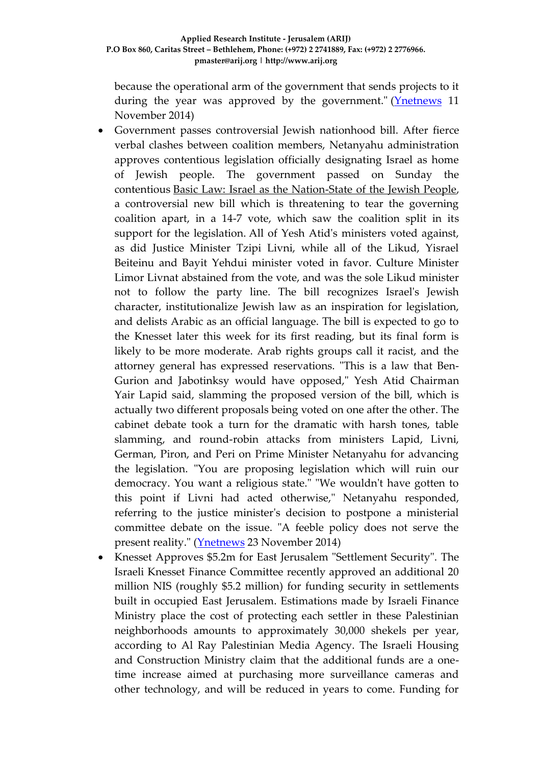because the operational arm of the government that sends projects to it during the year was approved by the government." ( $Y$ netnews 11 November 2014)

- Government passes controversial Jewish nationhood bill. After fierce verbal clashes between coalition members, Netanyahu administration approves contentious legislation officially designating Israel as home of Jewish people. The government passed on Sunday the contentious [Basic Law: Israel as the Nation-State of the Jewish People,](http://www.ynetnews.com/articles/0,7340,L-4594931,00.html) a controversial new bill which is threatening to tear the governing coalition apart, in a 14-7 vote, which saw the coalition split in its support for the legislation. All of Yesh Atid's ministers voted against, as did Justice Minister Tzipi Livni, while all of the Likud, Yisrael Beiteinu and Bayit Yehdui minister voted in favor. Culture Minister Limor Livnat abstained from the vote, and was the sole Likud minister not to follow the party line. The bill recognizes Israel's Jewish character, institutionalize Jewish law as an inspiration for legislation, and delists Arabic as an official language. The bill is expected to go to the Knesset later this week for its first reading, but its final form is likely to be more moderate. Arab rights groups call it racist, and the attorney general has expressed reservations. "This is a law that Ben-Gurion and Jabotinksy would have opposed," Yesh Atid Chairman Yair Lapid said, slamming the proposed version of the bill, which is actually two different proposals being voted on one after the other. The cabinet debate took a turn for the dramatic with harsh tones, table slamming, and round-robin attacks from ministers Lapid, Livni, German, Piron, and Peri on Prime Minister Netanyahu for advancing the legislation. "You are proposing legislation which will ruin our democracy. You want a religious state." "We wouldn't have gotten to this point if Livni had acted otherwise," Netanyahu responded, referring to the justice minister's decision to postpone a ministerial committee debate on the issue. "A feeble policy does not serve the present reality." [\(Ynetnews](http://www.ynetnews.com/articles/0,7340,L-4595070,00.html) 23 November 2014)
- Knesset Approves \$5.2m for East Jerusalem "Settlement Security". The Israeli Knesset Finance Committee recently approved an additional 20 million NIS (roughly \$5.2 million) for funding security in settlements built in occupied East Jerusalem. Estimations made by Israeli Finance Ministry place the cost of protecting each settler in these Palestinian neighborhoods amounts to approximately 30,000 shekels per year, according to Al Ray Palestinian Media Agency. The Israeli Housing and Construction Ministry claim that the additional funds are a onetime increase aimed at purchasing more surveillance cameras and other technology, and will be reduced in years to come. Funding for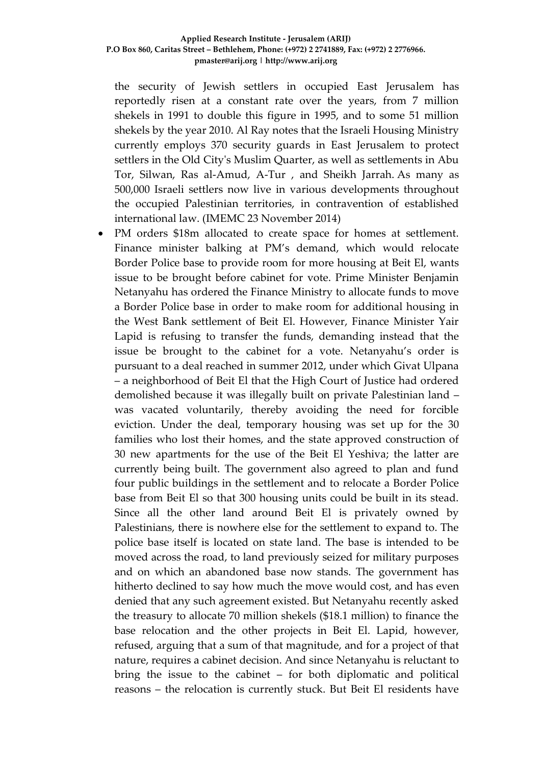the security of Jewish settlers in occupied East Jerusalem has reportedly risen at a constant rate over the years, from 7 million shekels in 1991 to double this figure in 1995, and to some 51 million shekels by the year 2010. Al Ray notes that the Israeli Housing Ministry currently employs 370 security guards in East Jerusalem to protect settlers in the Old City's Muslim Quarter, as well as settlements in Abu Tor, Silwan, Ras al-Amud, A-Tur , and Sheikh Jarrah. As many as 500,000 Israeli settlers now live in various developments throughout the occupied Palestinian territories, in contravention of established international law. (IMEMC 23 November 2014)

 PM orders \$18m allocated to create space for homes at settlement. Finance minister balking at PM's demand, which would relocate Border Police base to provide room for more housing at Beit El, wants issue to be brought before cabinet for vote. Prime Minister Benjamin Netanyahu has ordered the Finance Ministry to allocate funds to move a Border Police base in order to make room for additional housing in the West Bank settlement of Beit El. However, Finance Minister Yair Lapid is refusing to transfer the funds, demanding instead that the issue be brought to the cabinet for a vote. Netanyahu's order is pursuant to a deal reached in summer 2012, under which Givat Ulpana – a neighborhood of Beit El that the High Court of Justice had ordered demolished because it was illegally built on private Palestinian land – was vacated voluntarily, thereby avoiding the need for forcible eviction. Under the deal, temporary housing was set up for the 30 families who lost their homes, and the state approved construction of 30 new apartments for the use of the Beit El Yeshiva; the latter are currently being built. The government also agreed to plan and fund four public buildings in the settlement and to relocate a Border Police base from Beit El so that 300 housing units could be built in its stead. Since all the other land around Beit El is privately owned by Palestinians, there is nowhere else for the settlement to expand to. The police base itself is located on state land. The base is intended to be moved across the road, to land previously seized for military purposes and on which an abandoned base now stands. The government has hitherto declined to say how much the move would cost, and has even denied that any such agreement existed. But Netanyahu recently asked the treasury to allocate 70 million shekels (\$18.1 million) to finance the base relocation and the other projects in Beit El. Lapid, however, refused, arguing that a sum of that magnitude, and for a project of that nature, requires a cabinet decision. And since Netanyahu is reluctant to bring the issue to the cabinet – for both diplomatic and political reasons – the relocation is currently stuck. But Beit El residents have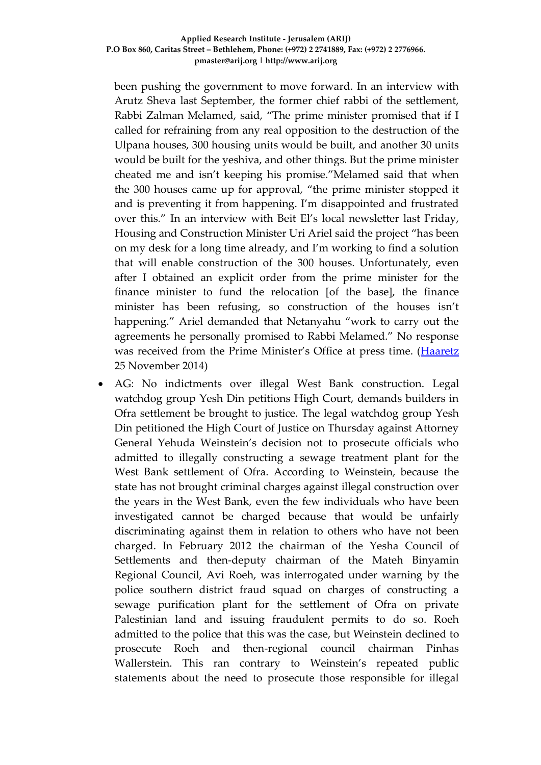been pushing the government to move forward. In an interview with Arutz Sheva last September, the former chief rabbi of the settlement, Rabbi Zalman Melamed, said, "The prime minister promised that if I called for refraining from any real opposition to the destruction of the Ulpana houses, 300 housing units would be built, and another 30 units would be built for the yeshiva, and other things. But the prime minister cheated me and isn't keeping his promise."Melamed said that when the 300 houses came up for approval, "the prime minister stopped it and is preventing it from happening. I'm disappointed and frustrated over this." In an interview with Beit El's local newsletter last Friday, Housing and Construction Minister Uri Ariel said the project "has been on my desk for a long time already, and I'm working to find a solution that will enable construction of the 300 houses. Unfortunately, even after I obtained an explicit order from the prime minister for the finance minister to fund the relocation [of the base], the finance minister has been refusing, so construction of the houses isn't happening." Ariel demanded that Netanyahu "work to carry out the agreements he personally promised to Rabbi Melamed." No response was received from the Prime Minister's Office at press time. [\(Haaretz](http://www.haaretz.com/news/national/.premium-1.628350) 25 November 2014)

 AG: No indictments over illegal West Bank construction. Legal watchdog group Yesh Din petitions High Court, demands builders in Ofra settlement be brought to justice. The legal watchdog group Yesh Din petitioned the High Court of Justice on Thursday against Attorney General Yehuda Weinstein's decision not to prosecute officials who admitted to illegally constructing a sewage treatment plant for the West Bank settlement of Ofra. According to Weinstein, because the state has not brought criminal charges against illegal construction over the years in the West Bank, even the few individuals who have been investigated cannot be charged because that would be unfairly discriminating against them in relation to others who have not been charged. In February 2012 the chairman of the Yesha Council of Settlements and then-deputy chairman of the Mateh Binyamin Regional Council, Avi Roeh, was interrogated under warning by the police southern district fraud squad on charges of constructing a sewage purification plant for the settlement of Ofra on private Palestinian land and issuing fraudulent permits to do so. Roeh admitted to the police that this was the case, but Weinstein declined to prosecute Roeh and then-regional council chairman Pinhas Wallerstein. This ran contrary to Weinstein's repeated public statements about the need to prosecute those responsible for illegal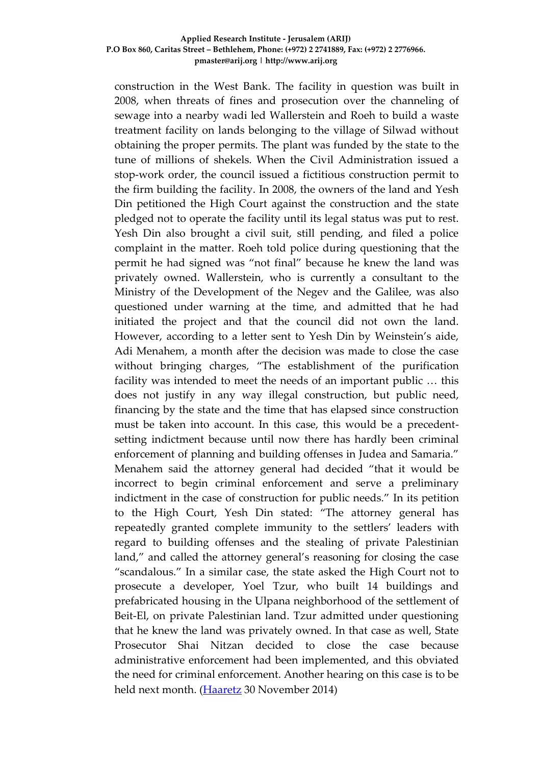#### **Applied Research Institute - Jerusalem (ARIJ) P.O Box 860, Caritas Street – Bethlehem, Phone: (+972) 2 2741889, Fax: (+972) 2 2776966. pmaster@arij.org | http://www.arij.org**

construction in the West Bank. The facility in question was built in 2008, when threats of fines and prosecution over the channeling of sewage into a nearby wadi led Wallerstein and Roeh to build a waste treatment facility on lands belonging to the village of Silwad without obtaining the proper permits. The plant was funded by the state to the tune of millions of shekels. When the Civil Administration issued a stop-work order, the council issued a fictitious construction permit to the firm building the facility. In 2008, the owners of the land and Yesh Din petitioned the High Court against the construction and the state pledged not to operate the facility until its legal status was put to rest. Yesh Din also brought a civil suit, still pending, and filed a police complaint in the matter. Roeh told police during questioning that the permit he had signed was "not final" because he knew the land was privately owned. Wallerstein, who is currently a consultant to the Ministry of the Development of the Negev and the Galilee, was also questioned under warning at the time, and admitted that he had initiated the project and that the council did not own the land. However, according to a letter sent to Yesh Din by Weinstein's aide, Adi Menahem, a month after the decision was made to close the case without bringing charges, "The establishment of the purification facility was intended to meet the needs of an important public … this does not justify in any way illegal construction, but public need, financing by the state and the time that has elapsed since construction must be taken into account. In this case, this would be a precedentsetting indictment because until now there has hardly been criminal enforcement of planning and building offenses in Judea and Samaria." Menahem said the attorney general had decided "that it would be incorrect to begin criminal enforcement and serve a preliminary indictment in the case of construction for public needs." In its petition to the High Court, Yesh Din stated: "The attorney general has repeatedly granted complete immunity to the settlers' leaders with regard to building offenses and the stealing of private Palestinian land," and called the attorney general's reasoning for closing the case "scandalous." In a similar case, the state asked the High Court not to prosecute a developer, Yoel Tzur, who built 14 buildings and prefabricated housing in the Ulpana neighborhood of the settlement of Beit-El, on private Palestinian land. Tzur admitted under questioning that he knew the land was privately owned. In that case as well, State Prosecutor Shai Nitzan decided to close the case because administrative enforcement had been implemented, and this obviated the need for criminal enforcement. Another hearing on this case is to be held next month. [\(Haaretz](http://www.haaretz.com/news/diplomacy-defense/.premium-1.629158) 30 November 2014)